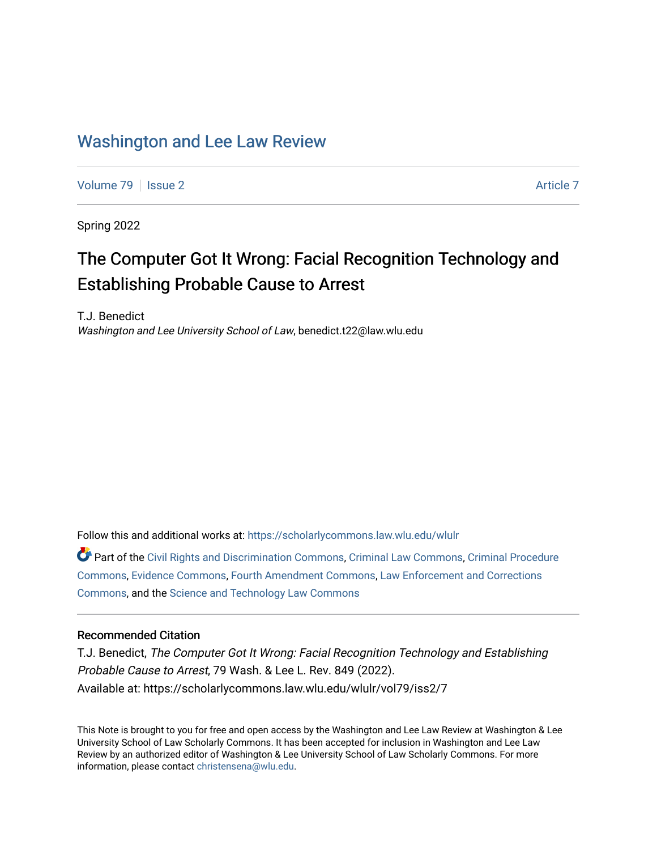## [Washington and Lee Law Review](https://scholarlycommons.law.wlu.edu/wlulr)

[Volume 79](https://scholarlycommons.law.wlu.edu/wlulr/vol79) | [Issue 2](https://scholarlycommons.law.wlu.edu/wlulr/vol79/iss2) [Article 7](https://scholarlycommons.law.wlu.edu/wlulr/vol79/iss2/7) Article 7

Spring 2022

# The Computer Got It Wrong: Facial Recognition Technology and Establishing Probable Cause to Arrest

T.J. Benedict Washington and Lee University School of Law, benedict.t22@law.wlu.edu

Follow this and additional works at: [https://scholarlycommons.law.wlu.edu/wlulr](https://scholarlycommons.law.wlu.edu/wlulr?utm_source=scholarlycommons.law.wlu.edu%2Fwlulr%2Fvol79%2Fiss2%2F7&utm_medium=PDF&utm_campaign=PDFCoverPages) 

Part of the [Civil Rights and Discrimination Commons,](http://network.bepress.com/hgg/discipline/585?utm_source=scholarlycommons.law.wlu.edu%2Fwlulr%2Fvol79%2Fiss2%2F7&utm_medium=PDF&utm_campaign=PDFCoverPages) [Criminal Law Commons,](http://network.bepress.com/hgg/discipline/912?utm_source=scholarlycommons.law.wlu.edu%2Fwlulr%2Fvol79%2Fiss2%2F7&utm_medium=PDF&utm_campaign=PDFCoverPages) [Criminal Procedure](http://network.bepress.com/hgg/discipline/1073?utm_source=scholarlycommons.law.wlu.edu%2Fwlulr%2Fvol79%2Fiss2%2F7&utm_medium=PDF&utm_campaign=PDFCoverPages)  [Commons](http://network.bepress.com/hgg/discipline/1073?utm_source=scholarlycommons.law.wlu.edu%2Fwlulr%2Fvol79%2Fiss2%2F7&utm_medium=PDF&utm_campaign=PDFCoverPages), [Evidence Commons,](http://network.bepress.com/hgg/discipline/601?utm_source=scholarlycommons.law.wlu.edu%2Fwlulr%2Fvol79%2Fiss2%2F7&utm_medium=PDF&utm_campaign=PDFCoverPages) [Fourth Amendment Commons](http://network.bepress.com/hgg/discipline/1180?utm_source=scholarlycommons.law.wlu.edu%2Fwlulr%2Fvol79%2Fiss2%2F7&utm_medium=PDF&utm_campaign=PDFCoverPages), [Law Enforcement and Corrections](http://network.bepress.com/hgg/discipline/854?utm_source=scholarlycommons.law.wlu.edu%2Fwlulr%2Fvol79%2Fiss2%2F7&utm_medium=PDF&utm_campaign=PDFCoverPages) [Commons](http://network.bepress.com/hgg/discipline/854?utm_source=scholarlycommons.law.wlu.edu%2Fwlulr%2Fvol79%2Fiss2%2F7&utm_medium=PDF&utm_campaign=PDFCoverPages), and the [Science and Technology Law Commons](http://network.bepress.com/hgg/discipline/875?utm_source=scholarlycommons.law.wlu.edu%2Fwlulr%2Fvol79%2Fiss2%2F7&utm_medium=PDF&utm_campaign=PDFCoverPages)

### Recommended Citation

T.J. Benedict, The Computer Got It Wrong: Facial Recognition Technology and Establishing Probable Cause to Arrest, 79 Wash. & Lee L. Rev. 849 (2022). Available at: https://scholarlycommons.law.wlu.edu/wlulr/vol79/iss2/7

This Note is brought to you for free and open access by the Washington and Lee Law Review at Washington & Lee University School of Law Scholarly Commons. It has been accepted for inclusion in Washington and Lee Law Review by an authorized editor of Washington & Lee University School of Law Scholarly Commons. For more information, please contact [christensena@wlu.edu](mailto:christensena@wlu.edu).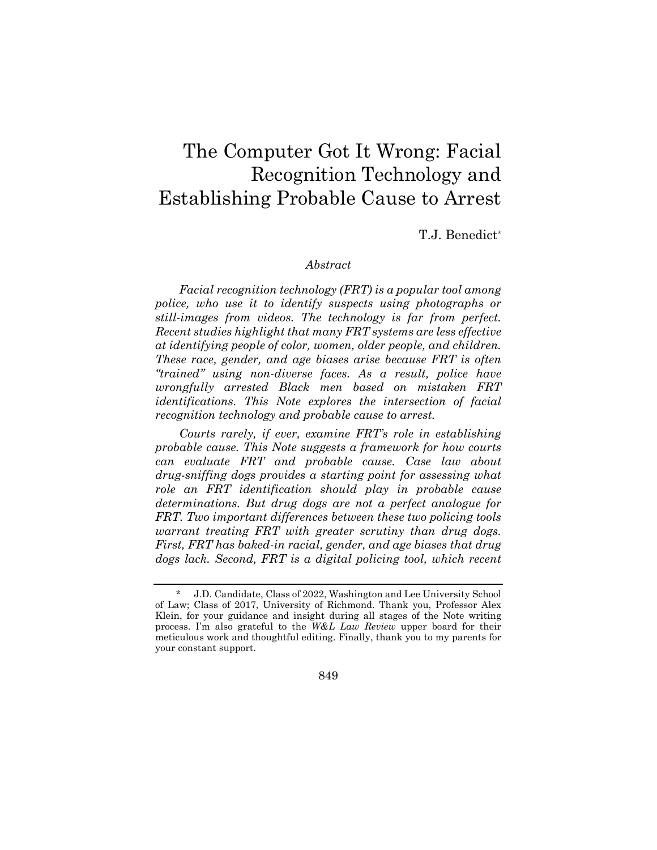## The Computer Got It Wrong: Facial Recognition Technology and Establishing Probable Cause to Arrest

T.J. Benedict\*

#### *Abstract*

*Facial recognition technology (FRT) is a popular tool among police, who use it to identify suspects using photographs or still-images from videos. The technology is far from perfect. Recent studies highlight that many FRT systems are less effective at identifying people of color, women, older people, and children. These race, gender, and age biases arise because FRT is often "trained" using non-diverse faces. As a result, police have wrongfully arrested Black men based on mistaken FRT identifications. This Note explores the intersection of facial recognition technology and probable cause to arrest.* 

*Courts rarely, if ever, examine FRT's role in establishing probable cause. This Note suggests a framework for how courts can evaluate FRT and probable cause. Case law about drug-sniffing dogs provides a starting point for assessing what role an FRT identification should play in probable cause determinations. But drug dogs are not a perfect analogue for FRT. Two important differences between these two policing tools warrant treating FRT with greater scrutiny than drug dogs. First, FRT has baked-in racial, gender, and age biases that drug dogs lack. Second, FRT is a digital policing tool, which recent* 

849

<sup>\*</sup> J.D. Candidate, Class of 2022, Washington and Lee University School of Law; Class of 2017, University of Richmond. Thank you, Professor Alex Klein, for your guidance and insight during all stages of the Note writing process. I'm also grateful to the *W&L Law Review* upper board for their meticulous work and thoughtful editing. Finally, thank you to my parents for your constant support.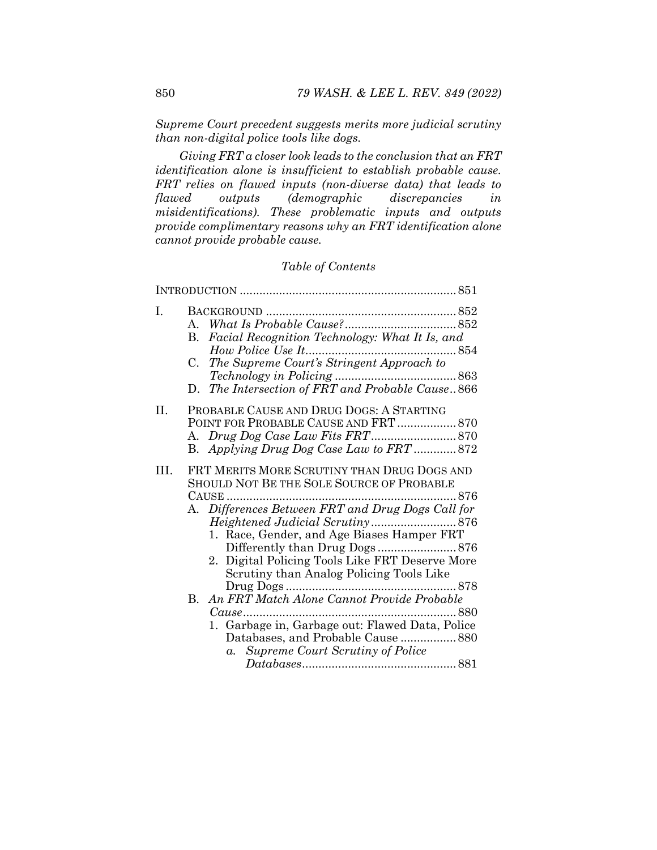*Supreme Court precedent suggests merits more judicial scrutiny than non-digital police tools like dogs.* 

*Giving FRT a closer look leads to the conclusion that an FRT identification alone is insufficient to establish probable cause. FRT relies on flawed inputs (non-diverse data) that leads to flawed outputs (demographic discrepancies in misidentifications). These problematic inputs and outputs provide complimentary reasons why an FRT identification alone cannot provide probable cause.* 

## *Table of Contents*

| Ι.   | Facial Recognition Technology: What It Is, and<br>В.<br>The Supreme Court's Stringent Approach to<br>C.<br>The Intersection of FRT and Probable Cause866<br>D.                                                                                                                                                                                     |
|------|----------------------------------------------------------------------------------------------------------------------------------------------------------------------------------------------------------------------------------------------------------------------------------------------------------------------------------------------------|
| II.  | PROBABLE CAUSE AND DRUG DOGS: A STARTING<br>POINT FOR PROBABLE CAUSE AND FRT  870<br>B. Applying Drug Dog Case Law to FRT  872                                                                                                                                                                                                                     |
| III. | FRT MERITS MORE SCRUTINY THAN DRUG DOGS AND<br>SHOULD NOT BE THE SOLE SOURCE OF PROBABLE<br>876<br>A. Differences Between FRT and Drug Dogs Call for<br>1. Race, Gender, and Age Biases Hamper FRT<br>2. Digital Policing Tools Like FRT Deserve More<br>Scrutiny than Analog Policing Tools Like<br>B. An FRT Match Alone Cannot Provide Probable |
|      | 1. Garbage in, Garbage out: Flawed Data, Police<br>Databases, and Probable Cause 880<br><b>Supreme Court Scrutiny of Police</b><br>$a_{\cdot}$                                                                                                                                                                                                     |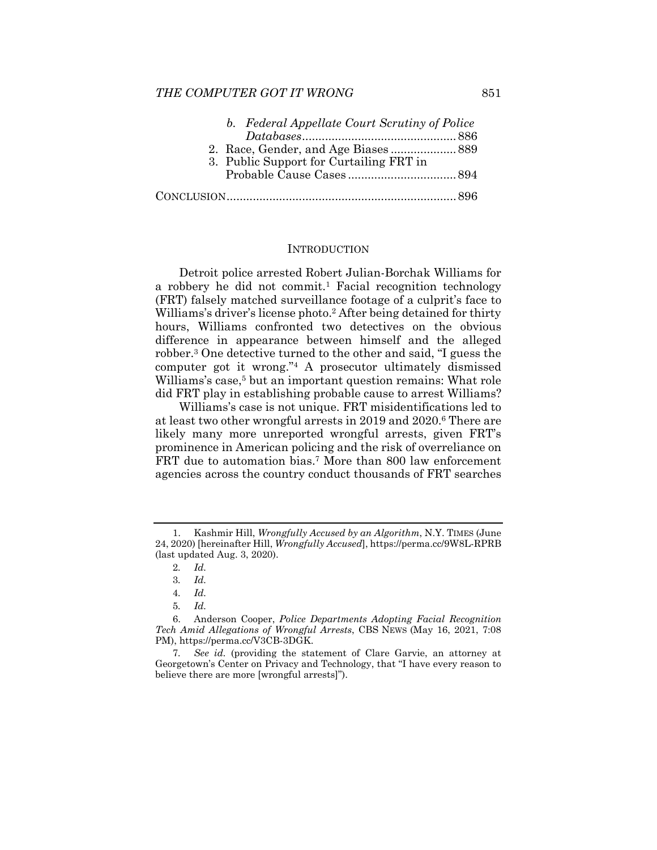#### *THE COMPUTER GOT IT WRONG* 851

| b. Federal Appellate Court Scrutiny of Police |  |
|-----------------------------------------------|--|
|                                               |  |
|                                               |  |
| 3. Public Support for Curtailing FRT in       |  |
|                                               |  |
|                                               |  |

#### **INTRODUCTION**

Detroit police arrested Robert Julian-Borchak Williams for a robbery he did not commit.<sup>1</sup> Facial recognition technology (FRT) falsely matched surveillance footage of a culprit's face to Williams's driver's license photo.2 After being detained for thirty hours, Williams confronted two detectives on the obvious difference in appearance between himself and the alleged robber.3 One detective turned to the other and said, "I guess the computer got it wrong."4 A prosecutor ultimately dismissed Williams's case,<sup>5</sup> but an important question remains: What role did FRT play in establishing probable cause to arrest Williams?

Williams's case is not unique. FRT misidentifications led to at least two other wrongful arrests in 2019 and 2020.6 There are likely many more unreported wrongful arrests, given FRT's prominence in American policing and the risk of overreliance on FRT due to automation bias.<sup>7</sup> More than 800 law enforcement agencies across the country conduct thousands of FRT searches

 <sup>1.</sup> Kashmir Hill, *Wrongfully Accused by an Algorithm*, N.Y. TIMES (June 24, 2020) [hereinafter Hill, *Wrongfully Accused*], https://perma.cc/9W8L-RPRB (last updated Aug. 3, 2020).

<sup>2</sup>*. Id.*

<sup>3</sup>*. Id.* 

<sup>4</sup>*. Id.*

<sup>5</sup>*. Id.*

 <sup>6.</sup> Anderson Cooper, *Police Departments Adopting Facial Recognition Tech Amid Allegations of Wrongful Arrests*, CBS NEWS (May 16, 2021, 7:08 PM), https://perma.cc/V3CB-3DGK.

<sup>7</sup>*. See id.* (providing the statement of Clare Garvie, an attorney at Georgetown's Center on Privacy and Technology, that "I have every reason to believe there are more [wrongful arrests]").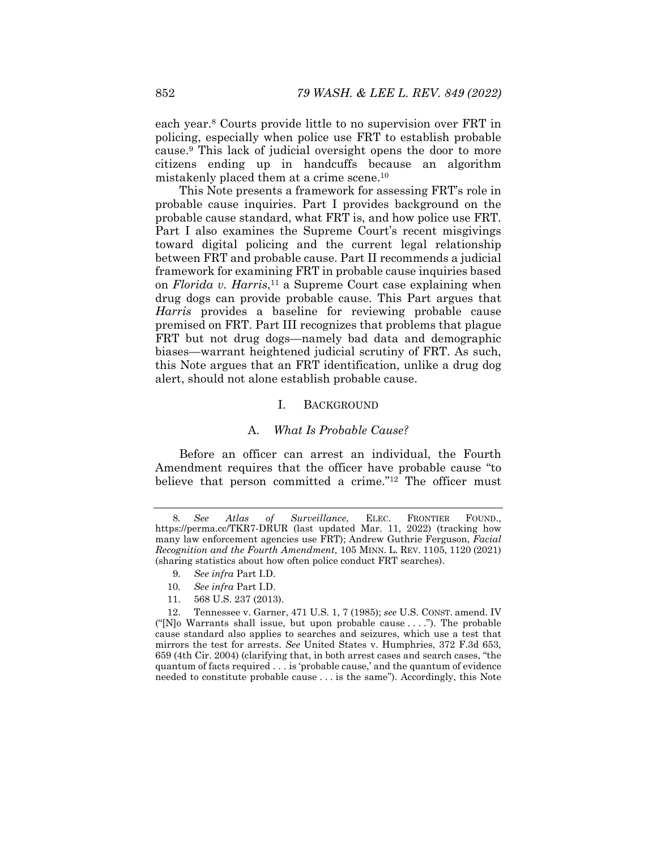each year.8 Courts provide little to no supervision over FRT in policing, especially when police use FRT to establish probable cause.9 This lack of judicial oversight opens the door to more citizens ending up in handcuffs because an algorithm mistakenly placed them at a crime scene.10

This Note presents a framework for assessing FRT's role in probable cause inquiries. Part I provides background on the probable cause standard, what FRT is, and how police use FRT. Part I also examines the Supreme Court's recent misgivings toward digital policing and the current legal relationship between FRT and probable cause. Part II recommends a judicial framework for examining FRT in probable cause inquiries based on *Florida v. Harris*,11 a Supreme Court case explaining when drug dogs can provide probable cause. This Part argues that *Harris* provides a baseline for reviewing probable cause premised on FRT. Part III recognizes that problems that plague FRT but not drug dogs—namely bad data and demographic biases—warrant heightened judicial scrutiny of FRT. As such, this Note argues that an FRT identification, unlike a drug dog alert, should not alone establish probable cause.

#### I. BACKGROUND

#### A. *What Is Probable Cause?*

Before an officer can arrest an individual, the Fourth Amendment requires that the officer have probable cause "to believe that person committed a crime."12 The officer must

- 10*. See infra* Part I.D.
- 11. 568 U.S. 237 (2013).

<sup>8</sup>*. See Atlas of Surveillance*, ELEC. FRONTIER FOUND., https://perma.cc/TKR7-DRUR (last updated Mar. 11, 2022) (tracking how many law enforcement agencies use FRT); Andrew Guthrie Ferguson, *Facial Recognition and the Fourth Amendment*, 105 MINN. L. REV. 1105, 1120 (2021) (sharing statistics about how often police conduct FRT searches).

<sup>9</sup>*. See infra* Part I.D.

 <sup>12.</sup> Tennessee v. Garner, 471 U.S. 1, 7 (1985); *see* U.S. CONST. amend. IV (" $[N]$ o Warrants shall issue, but upon probable cause ..."). The probable cause standard also applies to searches and seizures, which use a test that mirrors the test for arrests. *See* United States v. Humphries, 372 F.3d 653, 659 (4th Cir. 2004) (clarifying that, in both arrest cases and search cases, "the quantum of facts required . . . is 'probable cause,' and the quantum of evidence needed to constitute probable cause . . . is the same"). Accordingly, this Note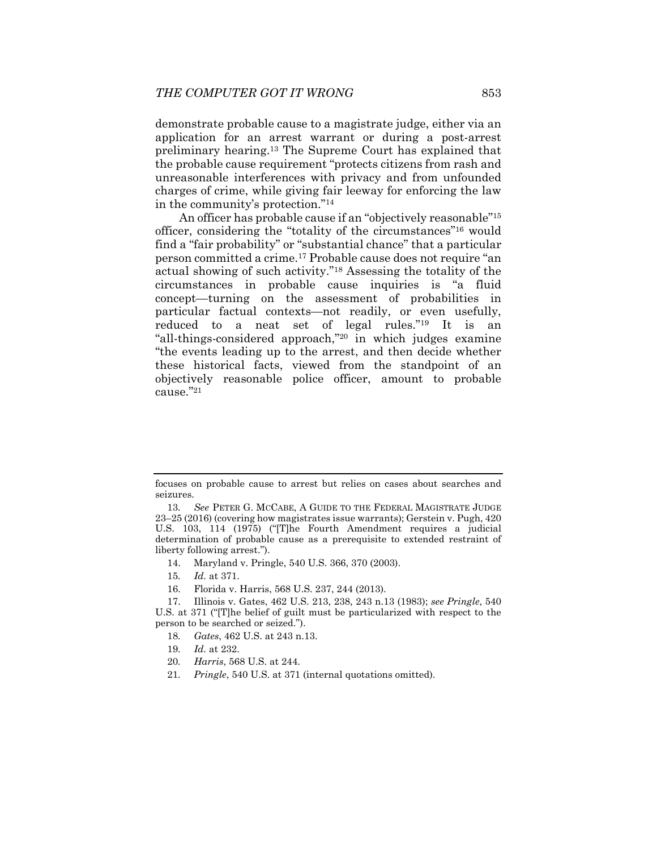demonstrate probable cause to a magistrate judge, either via an application for an arrest warrant or during a post-arrest preliminary hearing.13 The Supreme Court has explained that the probable cause requirement "protects citizens from rash and unreasonable interferences with privacy and from unfounded charges of crime, while giving fair leeway for enforcing the law in the community's protection."14

An officer has probable cause if an "objectively reasonable"15 officer, considering the "totality of the circumstances"16 would find a "fair probability" or "substantial chance" that a particular person committed a crime.17 Probable cause does not require "an actual showing of such activity."18 Assessing the totality of the circumstances in probable cause inquiries is "a fluid concept—turning on the assessment of probabilities in particular factual contexts—not readily, or even usefully, reduced to a neat set of legal rules."19 It is an "all-things-considered approach,"20 in which judges examine "the events leading up to the arrest, and then decide whether these historical facts, viewed from the standpoint of an objectively reasonable police officer, amount to probable cause."21

- 14. Maryland v. Pringle, 540 U.S. 366, 370 (2003).
- 15*. Id.* at 371.
- 16. Florida v. Harris, 568 U.S. 237, 244 (2013).

- 18*. Gates*, 462 U.S. at 243 n.13.
- 19*. Id.* at 232.
- 20*. Harris*, 568 U.S. at 244.
- 21*. Pringle*, 540 U.S. at 371 (internal quotations omitted).

focuses on probable cause to arrest but relies on cases about searches and seizures.

<sup>13</sup>*. See* PETER G. MCCABE, A GUIDE TO THE FEDERAL MAGISTRATE JUDGE 23–25 (2016) (covering how magistrates issue warrants); Gerstein v. Pugh, 420 U.S. 103, 114 (1975) ("[T]he Fourth Amendment requires a judicial determination of probable cause as a prerequisite to extended restraint of liberty following arrest.").

 <sup>17.</sup> Illinois v. Gates, 462 U.S. 213, 238, 243 n.13 (1983); *see Pringle*, 540 U.S. at 371 ("[T]he belief of guilt must be particularized with respect to the person to be searched or seized.").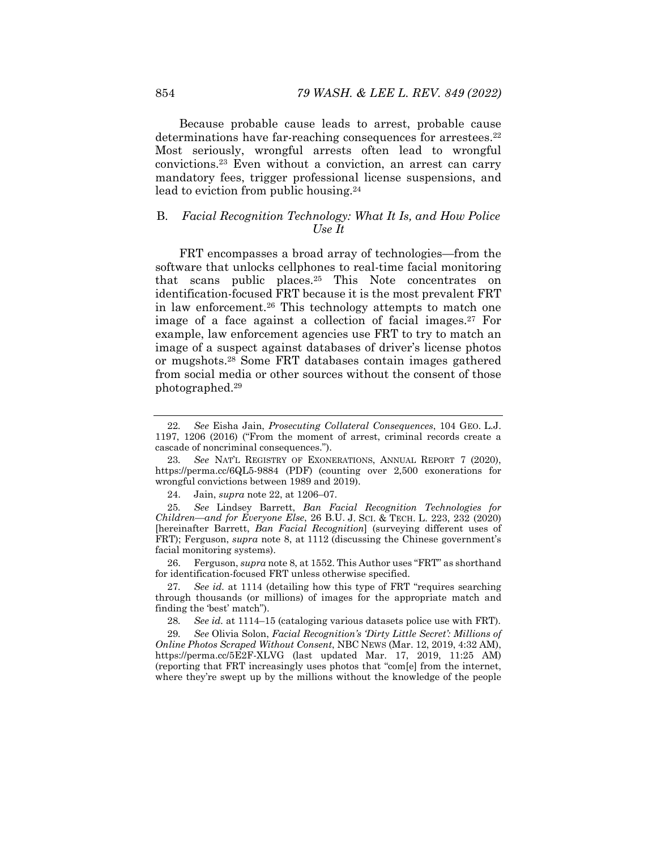Because probable cause leads to arrest, probable cause determinations have far-reaching consequences for arrestees.<sup>22</sup> Most seriously, wrongful arrests often lead to wrongful convictions.23 Even without a conviction, an arrest can carry mandatory fees, trigger professional license suspensions, and lead to eviction from public housing.<sup>24</sup>

## B. *Facial Recognition Technology: What It Is, and How Police Use It*

FRT encompasses a broad array of technologies—from the software that unlocks cellphones to real-time facial monitoring that scans public places.25 This Note concentrates on identification-focused FRT because it is the most prevalent FRT in law enforcement.26 This technology attempts to match one image of a face against a collection of facial images.<sup>27</sup> For example, law enforcement agencies use FRT to try to match an image of a suspect against databases of driver's license photos or mugshots.28 Some FRT databases contain images gathered from social media or other sources without the consent of those photographed.29

<sup>22</sup>*. See* Eisha Jain, *Prosecuting Collateral Consequences*, 104 GEO. L.J. 1197, 1206 (2016) ("From the moment of arrest, criminal records create a cascade of noncriminal consequences.").

<sup>23</sup>*. See* NAT'L REGISTRY OF EXONERATIONS, ANNUAL REPORT 7 (2020), https://perma.cc/6QL5-9884 (PDF) (counting over 2,500 exonerations for wrongful convictions between 1989 and 2019).

 <sup>24.</sup> Jain, *supra* note 22, at 1206–07.

<sup>25</sup>*. See* Lindsey Barrett, *Ban Facial Recognition Technologies for Children—and for Everyone Else*, 26 B.U. J. SCI. & TECH. L. 223, 232 (2020) [hereinafter Barrett, *Ban Facial Recognition*] (surveying different uses of FRT); Ferguson, *supra* note 8, at 1112 (discussing the Chinese government's facial monitoring systems).

 <sup>26.</sup> Ferguson, *supra* note 8, at 1552. This Author uses "FRT" as shorthand for identification-focused FRT unless otherwise specified.

<sup>27</sup>*. See id.* at 1114 (detailing how this type of FRT "requires searching through thousands (or millions) of images for the appropriate match and finding the 'best' match").

<sup>28</sup>*. See id.* at 1114–15 (cataloging various datasets police use with FRT).

<sup>29</sup>*. See* Olivia Solon, *Facial Recognition's 'Dirty Little Secret': Millions of Online Photos Scraped Without Consent*, NBC NEWS (Mar. 12, 2019, 4:32 AM), https://perma.cc/5E2F-XLVG (last updated Mar. 17, 2019, 11:25 AM) (reporting that FRT increasingly uses photos that "com[e] from the internet, where they're swept up by the millions without the knowledge of the people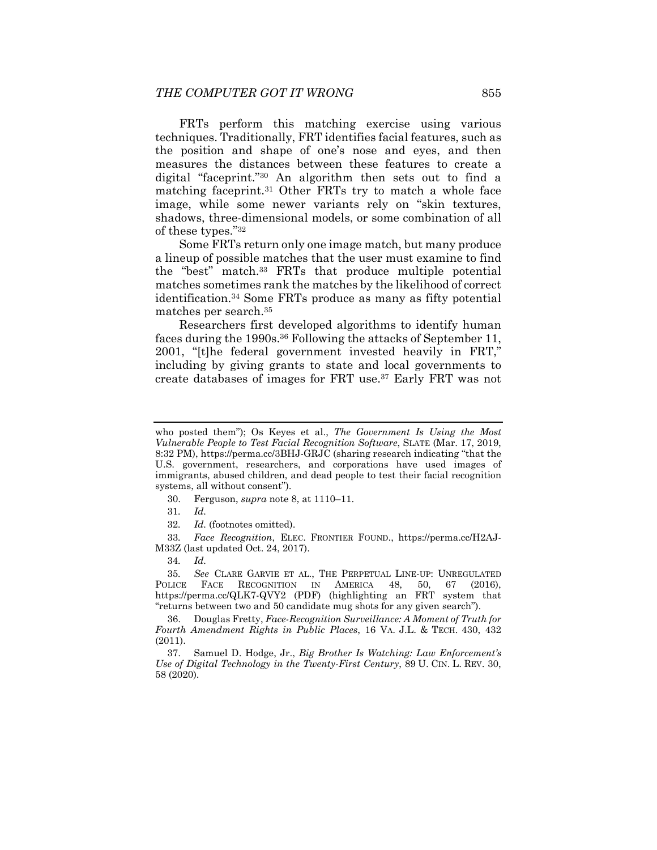FRTs perform this matching exercise using various techniques. Traditionally, FRT identifies facial features, such as the position and shape of one's nose and eyes, and then measures the distances between these features to create a digital "faceprint."30 An algorithm then sets out to find a matching faceprint.31 Other FRTs try to match a whole face image, while some newer variants rely on "skin textures, shadows, three-dimensional models, or some combination of all of these types."32

Some FRTs return only one image match, but many produce a lineup of possible matches that the user must examine to find the "best" match.33 FRTs that produce multiple potential matches sometimes rank the matches by the likelihood of correct identification.34 Some FRTs produce as many as fifty potential matches per search.35

Researchers first developed algorithms to identify human faces during the 1990s.<sup>36</sup> Following the attacks of September 11, 2001, "[t]he federal government invested heavily in FRT," including by giving grants to state and local governments to create databases of images for FRT use.37 Early FRT was not

31*. Id.*

33*. Face Recognition*, ELEC. FRONTIER FOUND., https://perma.cc/H2AJ-M33Z (last updated Oct. 24, 2017).

35*. See* CLARE GARVIE ET AL., THE PERPETUAL LINE-UP: UNREGULATED POLICE FACE RECOGNITION IN AMERICA 48, 50, 67 (2016), https://perma.cc/QLK7-QVY2 (PDF) (highlighting an FRT system that "returns between two and 50 candidate mug shots for any given search").

 36. Douglas Fretty, *Face-Recognition Surveillance: A Moment of Truth for Fourth Amendment Rights in Public Places*, 16 VA. J.L. & TECH. 430, 432 (2011).

 37. Samuel D. Hodge, Jr., *Big Brother Is Watching: Law Enforcement's Use of Digital Technology in the Twenty-First Century*, 89 U. CIN. L. REV. 30, 58 (2020).

who posted them"); Os Keyes et al., *The Government Is Using the Most Vulnerable People to Test Facial Recognition Software*, SLATE (Mar. 17, 2019, 8:32 PM), https://perma.cc/3BHJ-GRJC (sharing research indicating "that the U.S. government, researchers, and corporations have used images of immigrants, abused children, and dead people to test their facial recognition systems, all without consent").

 <sup>30.</sup> Ferguson, *supra* note 8, at 1110–11.

<sup>32</sup>*. Id.* (footnotes omitted).

<sup>34</sup>*. Id.*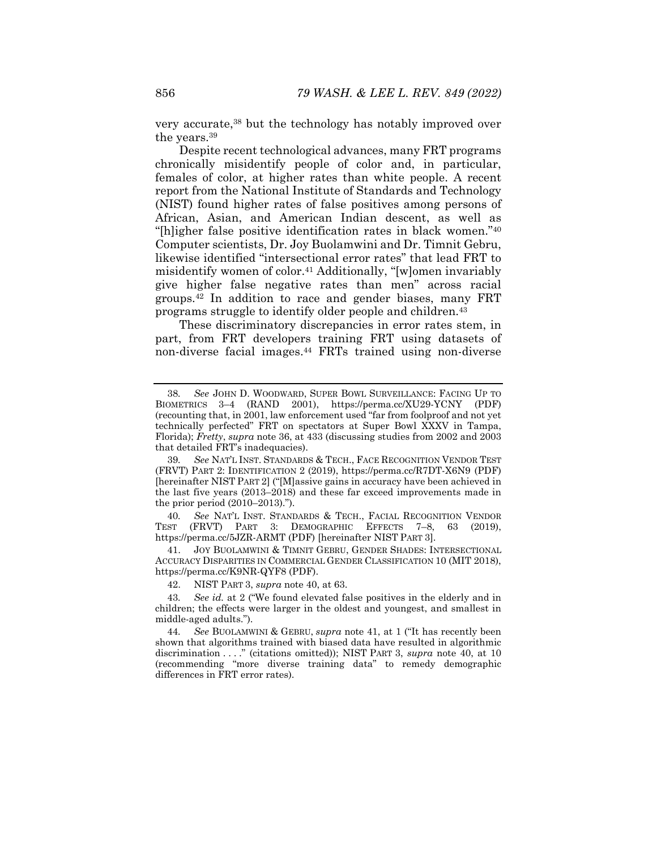very accurate,38 but the technology has notably improved over the years.39

Despite recent technological advances, many FRT programs chronically misidentify people of color and, in particular, females of color, at higher rates than white people. A recent report from the National Institute of Standards and Technology (NIST) found higher rates of false positives among persons of African, Asian, and American Indian descent, as well as "[h]igher false positive identification rates in black women."40 Computer scientists, Dr. Joy Buolamwini and Dr. Timnit Gebru, likewise identified "intersectional error rates" that lead FRT to misidentify women of color.41 Additionally, "[w]omen invariably give higher false negative rates than men" across racial groups.42 In addition to race and gender biases, many FRT programs struggle to identify older people and children.43

These discriminatory discrepancies in error rates stem, in part, from FRT developers training FRT using datasets of non-diverse facial images.44 FRTs trained using non-diverse

40*. See* NAT'L INST. STANDARDS & TECH., FACIAL RECOGNITION VENDOR TEST (FRVT) PART 3: DEMOGRAPHIC EFFECTS 7–8, 63 (2019), https://perma.cc/5JZR-ARMT (PDF) [hereinafter NIST PART 3].

 41. JOY BUOLAMWINI & TIMNIT GEBRU, GENDER SHADES: INTERSECTIONAL ACCURACY DISPARITIES IN COMMERCIAL GENDER CLASSIFICATION 10 (MIT 2018), https://perma.cc/K9NR-QYF8 (PDF).

42. NIST PART 3, *supra* note 40, at 63.

43*. See id.* at 2 ("We found elevated false positives in the elderly and in children; the effects were larger in the oldest and youngest, and smallest in middle-aged adults.").

44*. See* BUOLAMWINI & GEBRU, *supra* note 41, at 1 ("It has recently been shown that algorithms trained with biased data have resulted in algorithmic discrimination . . . ." (citations omitted)); NIST PART 3, *supra* note 40, at 10 (recommending "more diverse training data" to remedy demographic differences in FRT error rates).

<sup>38</sup>*. See* JOHN D. WOODWARD, SUPER BOWL SURVEILLANCE: FACING UP TO BIOMETRICS 3–4 (RAND 2001), https://perma.cc/XU29-YCNY (PDF) (recounting that, in 2001, law enforcement used "far from foolproof and not yet technically perfected" FRT on spectators at Super Bowl XXXV in Tampa, Florida); *Fretty*, *supra* note 36, at 433 (discussing studies from 2002 and 2003 that detailed FRT's inadequacies).

<sup>39</sup>*. See* NAT'L INST. STANDARDS & TECH., FACE RECOGNITION VENDOR TEST (FRVT) PART 2: IDENTIFICATION 2 (2019), https://perma.cc/R7DT-X6N9 (PDF) [hereinafter NIST PART 2] ("[M]assive gains in accuracy have been achieved in the last five years (2013–2018) and these far exceed improvements made in the prior period (2010–2013).").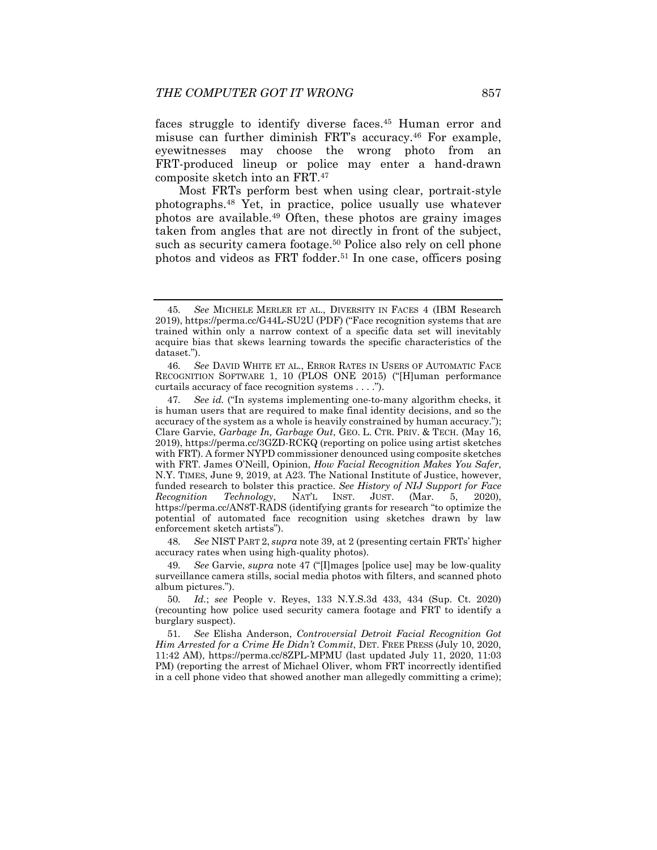faces struggle to identify diverse faces.<sup>45</sup> Human error and misuse can further diminish FRT's accuracy.46 For example, eyewitnesses may choose the wrong photo from an FRT-produced lineup or police may enter a hand-drawn composite sketch into an FRT.47

Most FRTs perform best when using clear, portrait-style photographs.48 Yet, in practice, police usually use whatever photos are available.49 Often, these photos are grainy images taken from angles that are not directly in front of the subject, such as security camera footage.<sup>50</sup> Police also rely on cell phone photos and videos as FRT fodder.<sup>51</sup> In one case, officers posing

48*. See* NIST PART 2, *supra* note 39, at 2 (presenting certain FRTs' higher accuracy rates when using high-quality photos).

50*. Id.*; *see* People v. Reyes, 133 N.Y.S.3d 433, 434 (Sup. Ct. 2020) (recounting how police used security camera footage and FRT to identify a burglary suspect).

51*. See* Elisha Anderson, *Controversial Detroit Facial Recognition Got Him Arrested for a Crime He Didn't Commit*, DET. FREE PRESS (July 10, 2020, 11:42 AM), https://perma.cc/8ZPL-MPMU (last updated July 11, 2020, 11:03 PM) (reporting the arrest of Michael Oliver, whom FRT incorrectly identified in a cell phone video that showed another man allegedly committing a crime);

<sup>45</sup>*. See* MICHELE MERLER ET AL., DIVERSITY IN FACES 4 (IBM Research 2019), https://perma.cc/G44L-SU2U (PDF) ("Face recognition systems that are trained within only a narrow context of a specific data set will inevitably acquire bias that skews learning towards the specific characteristics of the dataset.").

<sup>46</sup>*. See* DAVID WHITE ET AL., ERROR RATES IN USERS OF AUTOMATIC FACE RECOGNITION SOFTWARE 1, 10 (PLOS ONE 2015) ("[H]uman performance curtails accuracy of face recognition systems . . . .").

<sup>47</sup>*. See id.* ("In systems implementing one-to-many algorithm checks, it is human users that are required to make final identity decisions, and so the accuracy of the system as a whole is heavily constrained by human accuracy."); Clare Garvie, *Garbage In, Garbage Out*, GEO. L. CTR. PRIV. & TECH. (May 16, 2019), https://perma.cc/3GZD-RCKQ (reporting on police using artist sketches with FRT). A former NYPD commissioner denounced using composite sketches with FRT. James O'Neill, Opinion, *How Facial Recognition Makes You Safer*, N.Y. TIMES, June 9, 2019, at A23. The National Institute of Justice, however, funded research to bolster this practice. *See History of NIJ Support for Face Recognition Technology*, NAT'L INST. JUST. (Mar. 5, 2020), https://perma.cc/AN8T-RADS (identifying grants for research "to optimize the potential of automated face recognition using sketches drawn by law enforcement sketch artists").

<sup>49</sup>*. See* Garvie, *supra* note 47 ("[I]mages [police use] may be low-quality surveillance camera stills, social media photos with filters, and scanned photo album pictures.").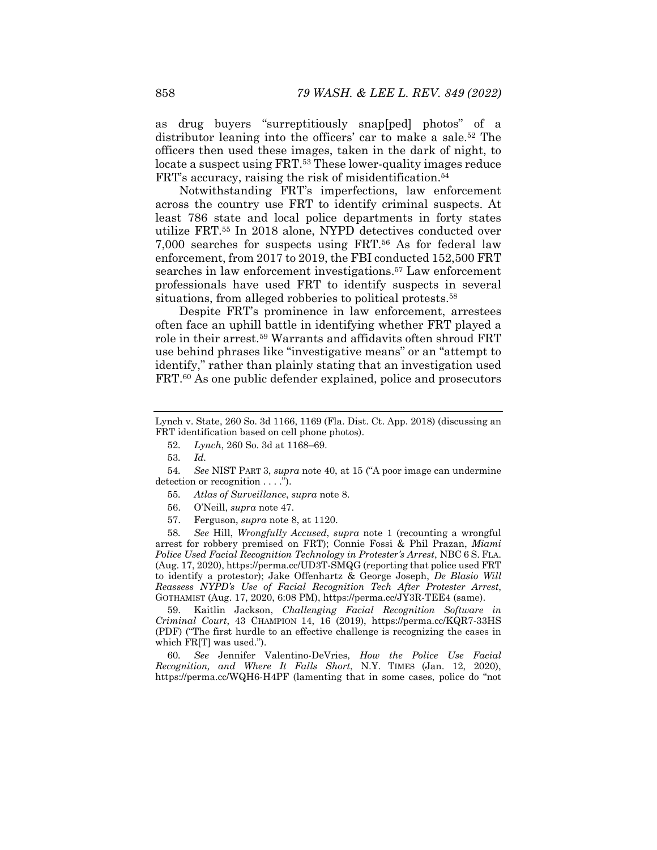as drug buyers "surreptitiously snap[ped] photos" of a distributor leaning into the officers' car to make a sale.<sup>52</sup> The officers then used these images, taken in the dark of night, to locate a suspect using FRT.<sup>53</sup> These lower-quality images reduce FRT's accuracy, raising the risk of misidentification.<sup>54</sup>

Notwithstanding FRT's imperfections, law enforcement across the country use FRT to identify criminal suspects. At least 786 state and local police departments in forty states utilize FRT.55 In 2018 alone, NYPD detectives conducted over 7,000 searches for suspects using FRT.56 As for federal law enforcement, from 2017 to 2019, the FBI conducted 152,500 FRT searches in law enforcement investigations.57 Law enforcement professionals have used FRT to identify suspects in several situations, from alleged robberies to political protests.<sup>58</sup>

Despite FRT's prominence in law enforcement, arrestees often face an uphill battle in identifying whether FRT played a role in their arrest.59 Warrants and affidavits often shroud FRT use behind phrases like "investigative means" or an "attempt to identify," rather than plainly stating that an investigation used FRT.<sup>60</sup> As one public defender explained, police and prosecutors

58*. See* Hill, *Wrongfully Accused*, *supra* note 1 (recounting a wrongful arrest for robbery premised on FRT); Connie Fossi & Phil Prazan, *Miami Police Used Facial Recognition Technology in Protester's Arrest*, NBC 6 S. FLA. (Aug. 17, 2020), https://perma.cc/UD3T-SMQG (reporting that police used FRT to identify a protestor); Jake Offenhartz & George Joseph, *De Blasio Will Reassess NYPD's Use of Facial Recognition Tech After Protester Arrest*, GOTHAMIST (Aug. 17, 2020, 6:08 PM), https://perma.cc/JY3R-TEE4 (same).

 59. Kaitlin Jackson, *Challenging Facial Recognition Software in Criminal Court*, 43 CHAMPION 14, 16 (2019), https://perma.cc/KQR7-33HS (PDF) ("The first hurdle to an effective challenge is recognizing the cases in which FR[T] was used.").

60*. See* Jennifer Valentino-DeVries, *How the Police Use Facial Recognition, and Where It Falls Short*, N.Y. TIMES (Jan. 12, 2020), https://perma.cc/WQH6-H4PF (lamenting that in some cases, police do "not

Lynch v. State, 260 So. 3d 1166, 1169 (Fla. Dist. Ct. App. 2018) (discussing an FRT identification based on cell phone photos).

<sup>52</sup>*. Lynch*, 260 So. 3d at 1168–69.

<sup>53</sup>*. Id.* 

<sup>54</sup>*. See* NIST PART 3, *supra* note 40, at 15 ("A poor image can undermine detection or recognition . . . .").

<sup>55</sup>*. Atlas of Surveillance*, *supra* note 8.

 <sup>56.</sup> O'Neill, *supra* note 47.

 <sup>57.</sup> Ferguson, *supra* note 8, at 1120.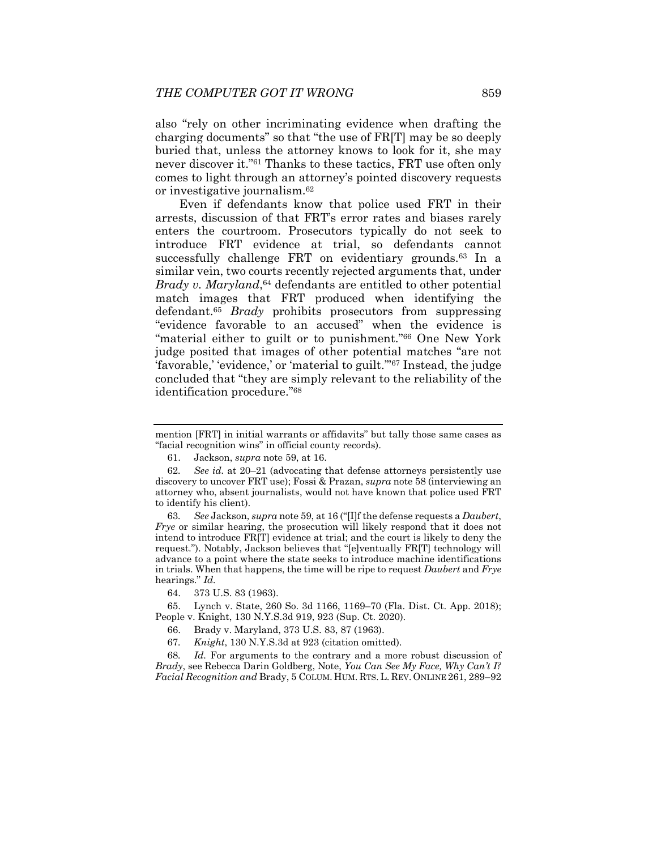also "rely on other incriminating evidence when drafting the charging documents" so that "the use of FR[T] may be so deeply buried that, unless the attorney knows to look for it, she may never discover it."61 Thanks to these tactics, FRT use often only comes to light through an attorney's pointed discovery requests or investigative journalism.62

Even if defendants know that police used FRT in their arrests, discussion of that FRT's error rates and biases rarely enters the courtroom. Prosecutors typically do not seek to introduce FRT evidence at trial, so defendants cannot successfully challenge FRT on evidentiary grounds.<sup>63</sup> In a similar vein, two courts recently rejected arguments that, under *Brady v. Maryland*,<sup>64</sup> defendants are entitled to other potential match images that FRT produced when identifying the defendant.65 *Brady* prohibits prosecutors from suppressing "evidence favorable to an accused" when the evidence is "material either to guilt or to punishment."66 One New York judge posited that images of other potential matches "are not 'favorable,' 'evidence,' or 'material to guilt.'"67 Instead, the judge concluded that "they are simply relevant to the reliability of the identification procedure."68

63*. See* Jackson, *supra* note 59, at 16 ("[I]f the defense requests a *Daubert*, *Frye* or similar hearing, the prosecution will likely respond that it does not intend to introduce FR[T] evidence at trial; and the court is likely to deny the request."). Notably, Jackson believes that "[e]ventually FR[T] technology will advance to a point where the state seeks to introduce machine identifications in trials. When that happens, the time will be ripe to request *Daubert* and *Frye*  hearings." *Id.* 

68*. Id.* For arguments to the contrary and a more robust discussion of *Brady*, see Rebecca Darin Goldberg, Note, *You Can See My Face, Why Can't I? Facial Recognition and* Brady, 5 COLUM. HUM. RTS.L. REV. ONLINE 261, 289–92

mention [FRT] in initial warrants or affidavits" but tally those same cases as "facial recognition wins" in official county records).

 <sup>61.</sup> Jackson, *supra* note 59, at 16.

<sup>62</sup>*. See id.* at 20–21 (advocating that defense attorneys persistently use discovery to uncover FRT use); Fossi & Prazan, *supra* note 58 (interviewing an attorney who, absent journalists, would not have known that police used FRT to identify his client).

 <sup>64. 373</sup> U.S. 83 (1963).

 <sup>65.</sup> Lynch v. State, 260 So. 3d 1166, 1169–70 (Fla. Dist. Ct. App. 2018); People v. Knight, 130 N.Y.S.3d 919, 923 (Sup. Ct. 2020).

 <sup>66.</sup> Brady v. Maryland, 373 U.S. 83, 87 (1963).

<sup>67</sup>*. Knight*, 130 N.Y.S.3d at 923 (citation omitted).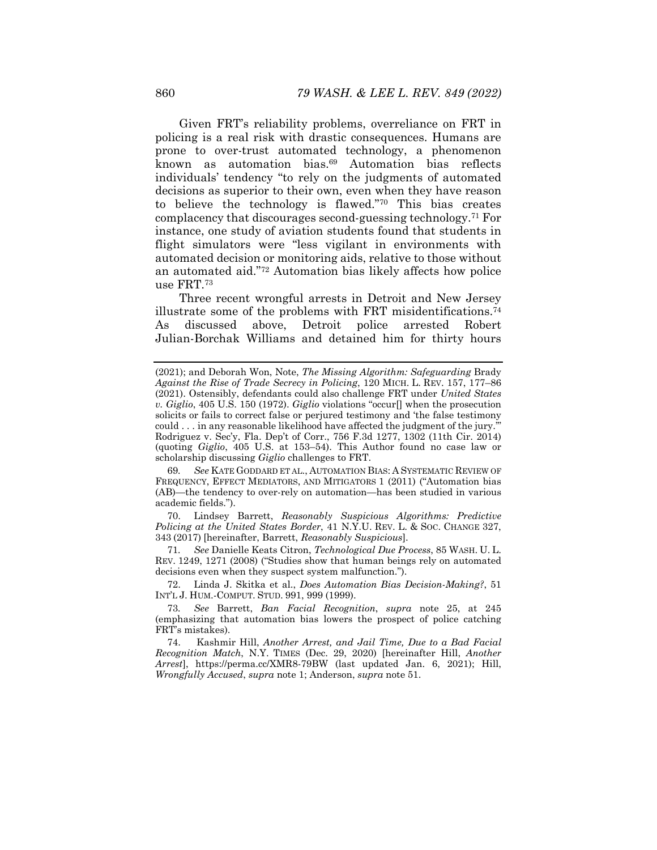Given FRT's reliability problems, overreliance on FRT in policing is a real risk with drastic consequences. Humans are prone to over-trust automated technology, a phenomenon known as automation bias.69 Automation bias reflects individuals' tendency "to rely on the judgments of automated decisions as superior to their own, even when they have reason to believe the technology is flawed."70 This bias creates complacency that discourages second-guessing technology.71 For instance, one study of aviation students found that students in flight simulators were "less vigilant in environments with automated decision or monitoring aids, relative to those without an automated aid."72 Automation bias likely affects how police use FRT.73

Three recent wrongful arrests in Detroit and New Jersey illustrate some of the problems with FRT misidentifications.74 As discussed above, Detroit police arrested Robert Julian-Borchak Williams and detained him for thirty hours

69*. See* KATE GODDARD ET AL., AUTOMATION BIAS: A SYSTEMATIC REVIEW OF FREQUENCY, EFFECT MEDIATORS, AND MITIGATORS 1 (2011) ("Automation bias (AB)—the tendency to over-rely on automation—has been studied in various academic fields.").

 70. Lindsey Barrett, *Reasonably Suspicious Algorithms: Predictive Policing at the United States Border*, 41 N.Y.U. REV. L. & SOC. CHANGE 327, 343 (2017) [hereinafter, Barrett, *Reasonably Suspicious*].

71*. See* Danielle Keats Citron, *Technological Due Process*, 85 WASH. U. L. REV. 1249, 1271 (2008) ("Studies show that human beings rely on automated decisions even when they suspect system malfunction.").

 72. Linda J. Skitka et al., *Does Automation Bias Decision-Making?*, 51 INT'L J. HUM.-COMPUT. STUD. 991, 999 (1999).

73*. See* Barrett, *Ban Facial Recognition*, *supra* note 25, at 245 (emphasizing that automation bias lowers the prospect of police catching FRT's mistakes).

 74. Kashmir Hill, *Another Arrest, and Jail Time, Due to a Bad Facial Recognition Match*, N.Y. TIMES (Dec. 29, 2020) [hereinafter Hill, *Another Arrest*], https://perma.cc/XMR8-79BW (last updated Jan. 6, 2021); Hill, *Wrongfully Accused*, *supra* note 1; Anderson, *supra* note 51.

<sup>(2021);</sup> and Deborah Won, Note, *The Missing Algorithm: Safeguarding* Brady *Against the Rise of Trade Secrecy in Policing*, 120 MICH. L. REV. 157, 177–86 (2021). Ostensibly, defendants could also challenge FRT under *United States v. Giglio*, 405 U.S. 150 (1972). *Giglio* violations "occur[] when the prosecution solicits or fails to correct false or perjured testimony and 'the false testimony could . . . in any reasonable likelihood have affected the judgment of the jury.'" Rodriguez v. Sec'y, Fla. Dep't of Corr., 756 F.3d 1277, 1302 (11th Cir. 2014) (quoting *Giglio*, 405 U.S. at 153–54). This Author found no case law or scholarship discussing *Giglio* challenges to FRT.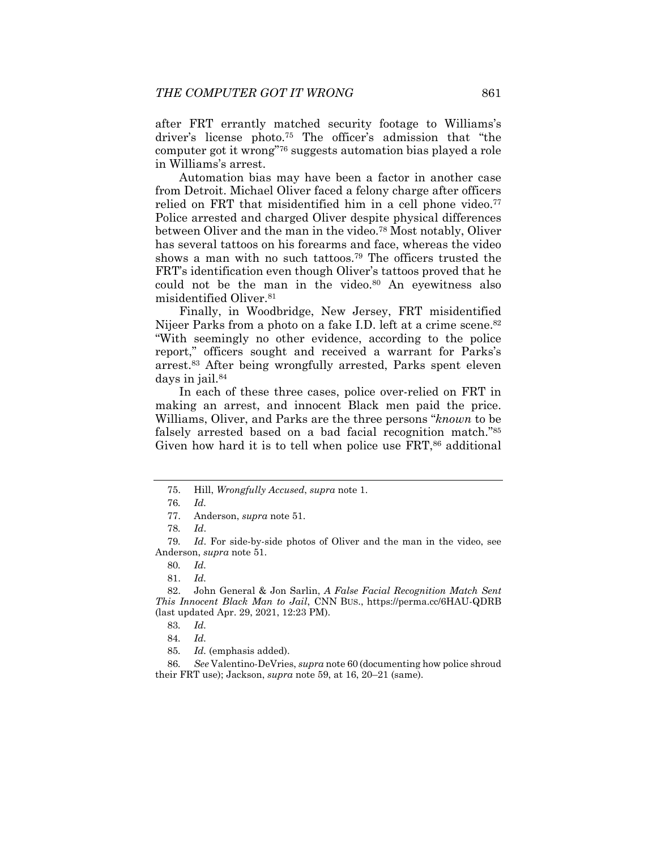after FRT errantly matched security footage to Williams's driver's license photo.75 The officer's admission that "the computer got it wrong"76 suggests automation bias played a role in Williams's arrest.

Automation bias may have been a factor in another case from Detroit. Michael Oliver faced a felony charge after officers relied on FRT that misidentified him in a cell phone video.<sup>77</sup> Police arrested and charged Oliver despite physical differences between Oliver and the man in the video.<sup>78</sup> Most notably, Oliver has several tattoos on his forearms and face, whereas the video shows a man with no such tattoos.79 The officers trusted the FRT's identification even though Oliver's tattoos proved that he could not be the man in the video.<sup>80</sup> An eyewitness also misidentified Oliver.81

Finally, in Woodbridge, New Jersey, FRT misidentified Nijeer Parks from a photo on a fake I.D. left at a crime scene.<sup>82</sup> "With seemingly no other evidence, according to the police report," officers sought and received a warrant for Parks's arrest.83 After being wrongfully arrested, Parks spent eleven days in jail.84

In each of these three cases, police over-relied on FRT in making an arrest, and innocent Black men paid the price. Williams, Oliver, and Parks are the three persons "*known* to be falsely arrested based on a bad facial recognition match."85 Given how hard it is to tell when police use FRT,<sup>86</sup> additional

 82. John General & Jon Sarlin, *A False Facial Recognition Match Sent This Innocent Black Man to Jail*, CNN BUS., https://perma.cc/6HAU-QDRB (last updated Apr. 29, 2021, 12:23 PM).

84*. Id.*

86*. See* Valentino-DeVries, *supra* note 60 (documenting how police shroud their FRT use); Jackson, *supra* note 59, at 16, 20–21 (same).

 <sup>75.</sup> Hill, *Wrongfully Accused*, *supra* note 1.

<sup>76</sup>*. Id.*

 <sup>77.</sup> Anderson, *supra* note 51.

<sup>78</sup>*. Id*.

<sup>79</sup>*. Id*. For side-by-side photos of Oliver and the man in the video, see Anderson, *supra* note 51.

<sup>80</sup>*. Id.*

 <sup>81.</sup> *Id.* 

<sup>83</sup>*. Id.* 

<sup>85</sup>*. Id.* (emphasis added).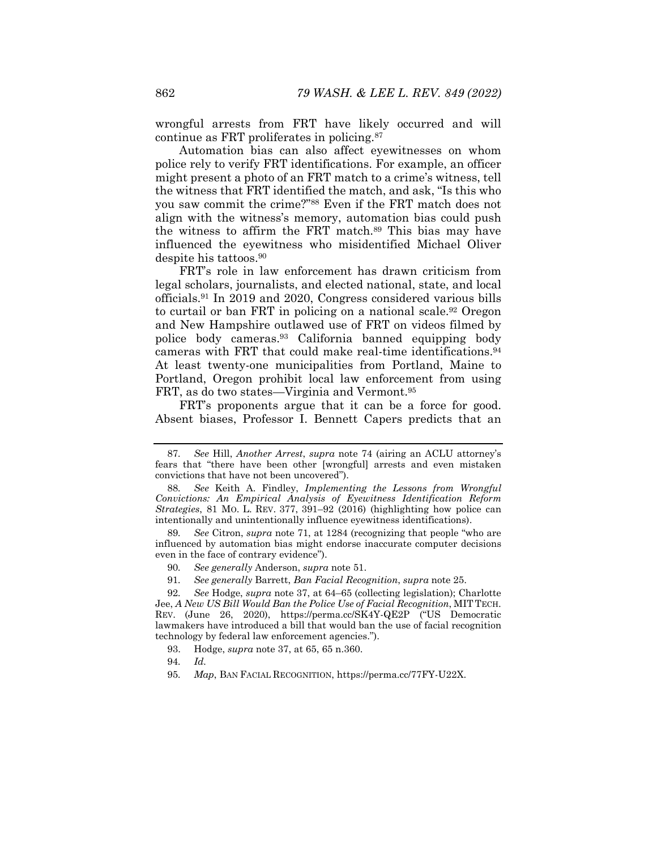wrongful arrests from FRT have likely occurred and will continue as FRT proliferates in policing.87

Automation bias can also affect eyewitnesses on whom police rely to verify FRT identifications. For example, an officer might present a photo of an FRT match to a crime's witness, tell the witness that FRT identified the match, and ask, "Is this who you saw commit the crime?"88 Even if the FRT match does not align with the witness's memory, automation bias could push the witness to affirm the FRT match.89 This bias may have influenced the eyewitness who misidentified Michael Oliver despite his tattoos.90

FRT's role in law enforcement has drawn criticism from legal scholars, journalists, and elected national, state, and local officials.91 In 2019 and 2020, Congress considered various bills to curtail or ban FRT in policing on a national scale.<sup>92</sup> Oregon and New Hampshire outlawed use of FRT on videos filmed by police body cameras.93 California banned equipping body cameras with FRT that could make real-time identifications.94 At least twenty-one municipalities from Portland, Maine to Portland, Oregon prohibit local law enforcement from using FRT, as do two states—Virginia and Vermont.95

FRT's proponents argue that it can be a force for good. Absent biases, Professor I. Bennett Capers predicts that an

91*. See generally* Barrett, *Ban Facial Recognition*, *supra* note 25.

95*. Map*, BAN FACIAL RECOGNITION, https://perma.cc/77FY-U22X.

<sup>87</sup>*. See* Hill, *Another Arrest*, *supra* note 74 (airing an ACLU attorney's fears that "there have been other [wrongful] arrests and even mistaken convictions that have not been uncovered").

<sup>88</sup>*. See* Keith A. Findley, *Implementing the Lessons from Wrongful Convictions: An Empirical Analysis of Eyewitness Identification Reform Strategies*, 81 MO. L. REV. 377, 391–92 (2016) (highlighting how police can intentionally and unintentionally influence eyewitness identifications).

<sup>89</sup>*. See* Citron, *supra* note 71, at 1284 (recognizing that people "who are influenced by automation bias might endorse inaccurate computer decisions even in the face of contrary evidence").

<sup>90</sup>*. See generally* Anderson, *supra* note 51.

<sup>92</sup>*. See* Hodge, *supra* note 37, at 64–65 (collecting legislation); Charlotte Jee, *A New US Bill Would Ban the Police Use of Facial Recognition*, MIT TECH. REV. (June 26, 2020), https://perma.cc/SK4Y-QE2P ("US Democratic lawmakers have introduced a bill that would ban the use of facial recognition technology by federal law enforcement agencies.").

 <sup>93.</sup> Hodge, *supra* note 37, at 65, 65 n.360.

<sup>94</sup>*. Id.*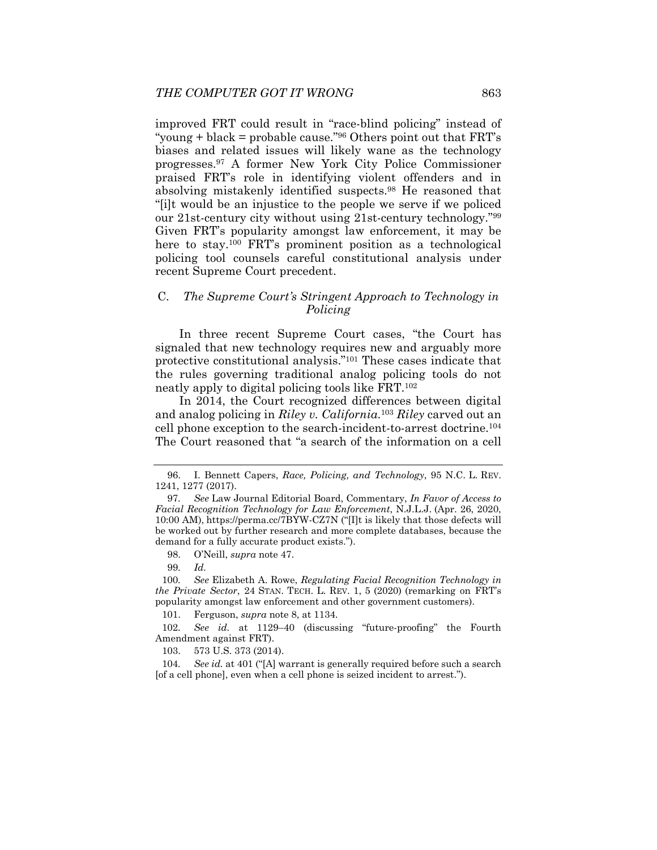improved FRT could result in "race-blind policing" instead of "young + black = probable cause."<sup>96</sup> Others point out that  $FRT$ 's biases and related issues will likely wane as the technology progresses.97 A former New York City Police Commissioner praised FRT's role in identifying violent offenders and in absolving mistakenly identified suspects.98 He reasoned that "[i]t would be an injustice to the people we serve if we policed our 21st-century city without using 21st-century technology."99 Given FRT's popularity amongst law enforcement, it may be here to stay.<sup>100</sup> FRT's prominent position as a technological policing tool counsels careful constitutional analysis under recent Supreme Court precedent.

## C. *The Supreme Court's Stringent Approach to Technology in Policing*

In three recent Supreme Court cases, "the Court has signaled that new technology requires new and arguably more protective constitutional analysis."101 These cases indicate that the rules governing traditional analog policing tools do not neatly apply to digital policing tools like FRT.102

In 2014, the Court recognized differences between digital and analog policing in *Riley v. California*.103 *Riley* carved out an cell phone exception to the search-incident-to-arrest doctrine.104 The Court reasoned that "a search of the information on a cell

98. O'Neill, *supra* note 47.

99*. Id.* 

100*. See* Elizabeth A. Rowe, *Regulating Facial Recognition Technology in the Private Sector*, 24 STAN. TECH. L. REV. 1, 5 (2020) (remarking on FRT's popularity amongst law enforcement and other government customers).

101. Ferguson, *supra* note 8, at 1134.

102*. See id.* at 1129–40 (discussing "future-proofing" the Fourth Amendment against FRT).

103. 573 U.S. 373 (2014).

104*. See id.* at 401 ("[A] warrant is generally required before such a search [of a cell phone], even when a cell phone is seized incident to arrest.").

 <sup>96.</sup> I. Bennett Capers, *Race, Policing, and Technology*, 95 N.C. L. REV. 1241, 1277 (2017).

<sup>97</sup>*. See* Law Journal Editorial Board, Commentary, *In Favor of Access to Facial Recognition Technology for Law Enforcement*, N.J.L.J. (Apr. 26, 2020, 10:00 AM), https://perma.cc/7BYW-CZ7N ("[I]t is likely that those defects will be worked out by further research and more complete databases, because the demand for a fully accurate product exists.").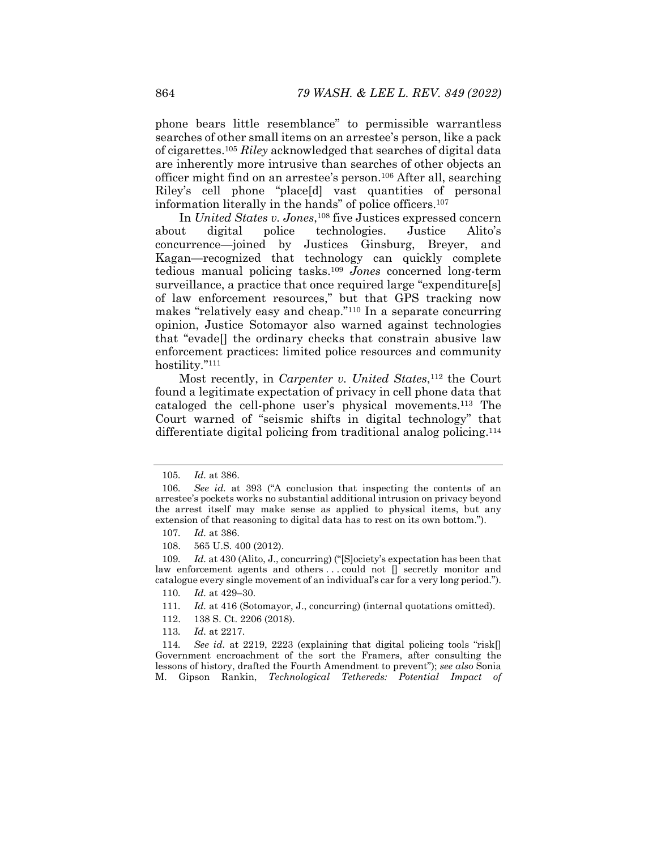phone bears little resemblance" to permissible warrantless searches of other small items on an arrestee's person, like a pack of cigarettes.105 *Riley* acknowledged that searches of digital data are inherently more intrusive than searches of other objects an officer might find on an arrestee's person.106 After all, searching Riley's cell phone "place[d] vast quantities of personal information literally in the hands" of police officers.107

In *United States v. Jones*,108 five Justices expressed concern about digital police technologies. Justice Alito's concurrence—joined by Justices Ginsburg, Breyer, and Kagan—recognized that technology can quickly complete tedious manual policing tasks.109 *Jones* concerned long-term surveillance, a practice that once required large "expenditure[s] of law enforcement resources," but that GPS tracking now makes "relatively easy and cheap."110 In a separate concurring opinion, Justice Sotomayor also warned against technologies that "evade[] the ordinary checks that constrain abusive law enforcement practices: limited police resources and community hostility."111

Most recently, in *Carpenter v. United States*,<sup>112</sup> the Court found a legitimate expectation of privacy in cell phone data that cataloged the cell-phone user's physical movements.113 The Court warned of "seismic shifts in digital technology" that differentiate digital policing from traditional analog policing.114

- 110*. Id.* at 429–30.
- 111*. Id.* at 416 (Sotomayor, J., concurring) (internal quotations omitted).
- 112. 138 S. Ct. 2206 (2018).
- 113*. Id.* at 2217.

114*. See id.* at 2219, 2223 (explaining that digital policing tools "risk[] Government encroachment of the sort the Framers, after consulting the lessons of history, drafted the Fourth Amendment to prevent"); *see also* Sonia M. Gipson Rankin, *Technological Tethereds: Potential Impact of* 

<sup>105</sup>*. Id.* at 386.

<sup>106</sup>*. See id.* at 393 ("A conclusion that inspecting the contents of an arrestee's pockets works no substantial additional intrusion on privacy beyond the arrest itself may make sense as applied to physical items, but any extension of that reasoning to digital data has to rest on its own bottom.").

<sup>107</sup>*. Id.* at 386.

 <sup>108. 565</sup> U.S. 400 (2012).

<sup>109</sup>*. Id.* at 430 (Alito, J., concurring) ("[S]ociety's expectation has been that law enforcement agents and others . . . could not [] secretly monitor and catalogue every single movement of an individual's car for a very long period.").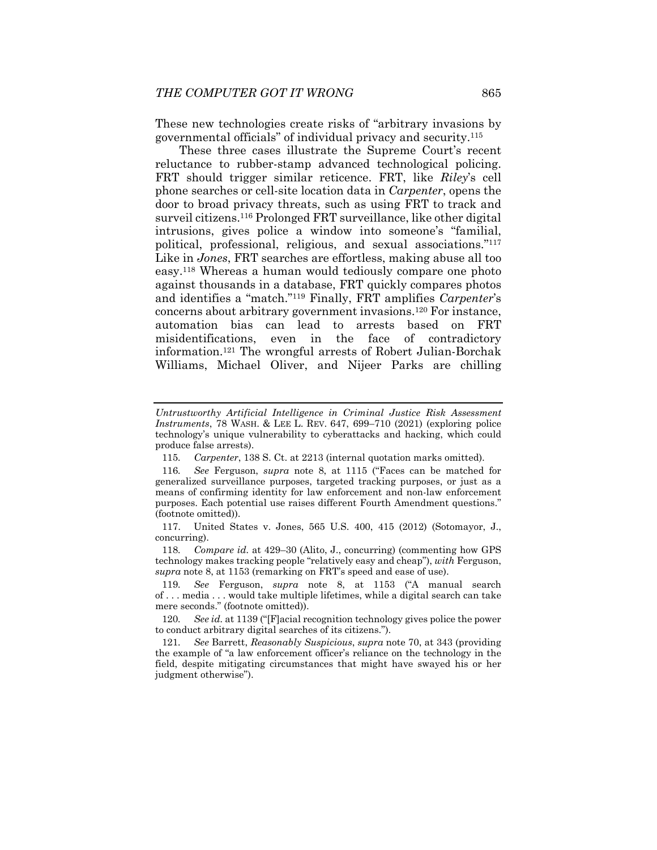These new technologies create risks of "arbitrary invasions by governmental officials" of individual privacy and security.115

These three cases illustrate the Supreme Court's recent reluctance to rubber-stamp advanced technological policing. FRT should trigger similar reticence. FRT, like *Riley*'s cell phone searches or cell-site location data in *Carpenter*, opens the door to broad privacy threats, such as using FRT to track and surveil citizens.116 Prolonged FRT surveillance, like other digital intrusions, gives police a window into someone's "familial, political, professional, religious, and sexual associations."117 Like in *Jones*, FRT searches are effortless, making abuse all too easy.118 Whereas a human would tediously compare one photo against thousands in a database, FRT quickly compares photos and identifies a "match."119 Finally, FRT amplifies *Carpenter*'s concerns about arbitrary government invasions.120 For instance, automation bias can lead to arrests based on FRT misidentifications, even in the face of contradictory information.121 The wrongful arrests of Robert Julian-Borchak Williams, Michael Oliver, and Nijeer Parks are chilling

*Untrustworthy Artificial Intelligence in Criminal Justice Risk Assessment Instruments*, 78 WASH. & LEE L. REV. 647, 699–710 (2021) (exploring police technology's unique vulnerability to cyberattacks and hacking, which could produce false arrests).

<sup>115</sup>*. Carpenter*, 138 S. Ct. at 2213 (internal quotation marks omitted).

<sup>116</sup>*. See* Ferguson, *supra* note 8, at 1115 ("Faces can be matched for generalized surveillance purposes, targeted tracking purposes, or just as a means of confirming identity for law enforcement and non-law enforcement purposes. Each potential use raises different Fourth Amendment questions." (footnote omitted)).

 <sup>117.</sup> United States v. Jones, 565 U.S. 400, 415 (2012) (Sotomayor, J., concurring).

<sup>118</sup>*. Compare id.* at 429–30 (Alito, J., concurring) (commenting how GPS technology makes tracking people "relatively easy and cheap"), *with* Ferguson, *supra* note 8, at 1153 (remarking on FRT's speed and ease of use).

<sup>119</sup>*. See* Ferguson, *supra* note 8, at 1153 ("A manual search of . . . media . . . would take multiple lifetimes, while a digital search can take mere seconds." (footnote omitted)).

<sup>120</sup>*. See id.* at 1139 ("[F]acial recognition technology gives police the power to conduct arbitrary digital searches of its citizens.").

<sup>121</sup>*. See* Barrett, *Reasonably Suspicious*, *supra* note 70, at 343 (providing the example of "a law enforcement officer's reliance on the technology in the field, despite mitigating circumstances that might have swayed his or her judgment otherwise").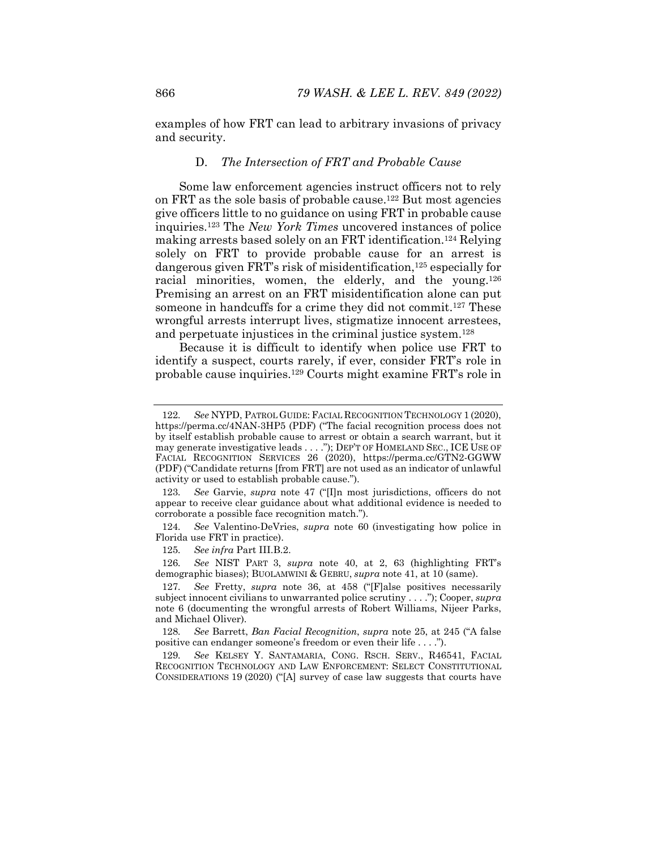examples of how FRT can lead to arbitrary invasions of privacy and security.

#### D. *The Intersection of FRT and Probable Cause*

Some law enforcement agencies instruct officers not to rely on FRT as the sole basis of probable cause.122 But most agencies give officers little to no guidance on using FRT in probable cause inquiries.123 The *New York Times* uncovered instances of police making arrests based solely on an FRT identification.124 Relying solely on FRT to provide probable cause for an arrest is dangerous given FRT's risk of misidentification,<sup>125</sup> especially for racial minorities, women, the elderly, and the young.<sup>126</sup> Premising an arrest on an FRT misidentification alone can put someone in handcuffs for a crime they did not commit.<sup>127</sup> These wrongful arrests interrupt lives, stigmatize innocent arrestees, and perpetuate injustices in the criminal justice system.128

Because it is difficult to identify when police use FRT to identify a suspect, courts rarely, if ever, consider FRT's role in probable cause inquiries.129 Courts might examine FRT's role in

124*. See* Valentino-DeVries, *supra* note 60 (investigating how police in Florida use FRT in practice).

125*. See infra* Part III.B.2.

126*. See* NIST PART 3, *supra* note 40, at 2, 63 (highlighting FRT's demographic biases); BUOLAMWINI & GEBRU, *supra* note 41, at 10 (same).

128*. See* Barrett, *Ban Facial Recognition*, *supra* note 25, at 245 ("A false positive can endanger someone's freedom or even their life . . . .").

129*. See* KELSEY Y. SANTAMARIA, CONG. RSCH. SERV., R46541, FACIAL RECOGNITION TECHNOLOGY AND LAW ENFORCEMENT: SELECT CONSTITUTIONAL CONSIDERATIONS 19 (2020) ("[A] survey of case law suggests that courts have

<sup>122</sup>*. See* NYPD, PATROL GUIDE: FACIAL RECOGNITION TECHNOLOGY 1 (2020), https://perma.cc/4NAN-3HP5 (PDF) ("The facial recognition process does not by itself establish probable cause to arrest or obtain a search warrant, but it may generate investigative leads . . . ."); DEP'T OF HOMELAND SEC., ICE USE OF FACIAL RECOGNITION SERVICES 26 (2020), https://perma.cc/GTN2-GGWW (PDF) ("Candidate returns [from FRT] are not used as an indicator of unlawful activity or used to establish probable cause.").

<sup>123</sup>*. See* Garvie, *supra* note 47 ("[I]n most jurisdictions, officers do not appear to receive clear guidance about what additional evidence is needed to corroborate a possible face recognition match.").

<sup>127</sup>*. See* Fretty, *supra* note 36, at 458 ("[F]alse positives necessarily subject innocent civilians to unwarranted police scrutiny . . . ."); Cooper, *supra*  note 6 (documenting the wrongful arrests of Robert Williams, Nijeer Parks, and Michael Oliver).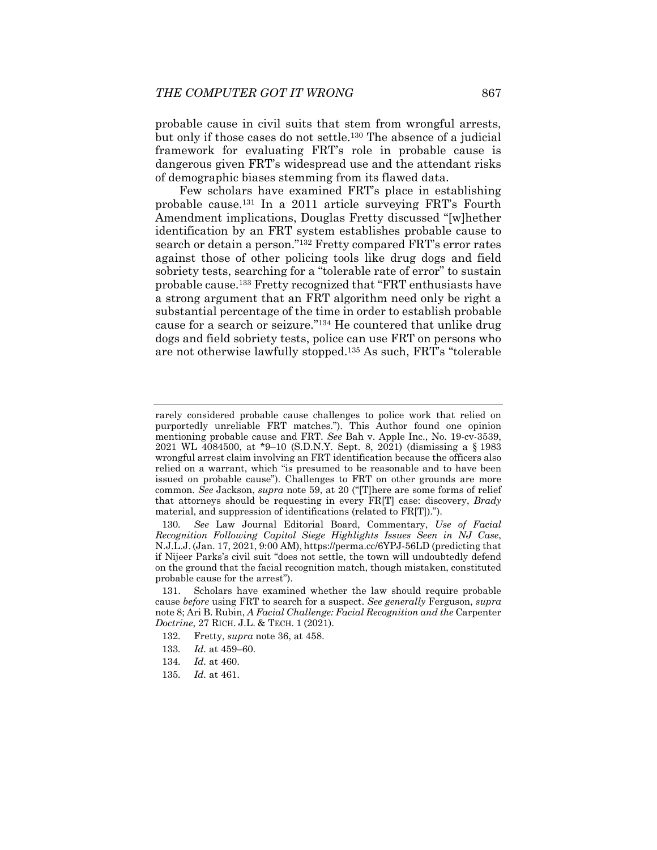probable cause in civil suits that stem from wrongful arrests, but only if those cases do not settle.130 The absence of a judicial framework for evaluating FRT's role in probable cause is dangerous given FRT's widespread use and the attendant risks of demographic biases stemming from its flawed data.

Few scholars have examined FRT's place in establishing probable cause.131 In a 2011 article surveying FRT's Fourth Amendment implications, Douglas Fretty discussed "[w]hether identification by an FRT system establishes probable cause to search or detain a person."132 Fretty compared FRT's error rates against those of other policing tools like drug dogs and field sobriety tests, searching for a "tolerable rate of error" to sustain probable cause.133 Fretty recognized that "FRT enthusiasts have a strong argument that an FRT algorithm need only be right a substantial percentage of the time in order to establish probable cause for a search or seizure."134 He countered that unlike drug dogs and field sobriety tests, police can use FRT on persons who are not otherwise lawfully stopped.135 As such, FRT's "tolerable

rarely considered probable cause challenges to police work that relied on purportedly unreliable FRT matches."). This Author found one opinion mentioning probable cause and FRT. *See* Bah v. Apple Inc., No. 19-cv-3539, 2021 WL 4084500, at \*9–10 (S.D.N.Y. Sept. 8, 2021) (dismissing a § 1983 wrongful arrest claim involving an FRT identification because the officers also relied on a warrant, which "is presumed to be reasonable and to have been issued on probable cause"). Challenges to FRT on other grounds are more common. *See* Jackson, *supra* note 59, at 20 ("[T]here are some forms of relief that attorneys should be requesting in every FR[T] case: discovery, *Brady* material, and suppression of identifications (related to FR[T]).").

<sup>130</sup>*. See* Law Journal Editorial Board, Commentary, *Use of Facial Recognition Following Capitol Siege Highlights Issues Seen in NJ Case*, N.J.L.J. (Jan. 17, 2021, 9:00 AM), https://perma.cc/6YPJ-56LD (predicting that if Nijeer Parks's civil suit "does not settle, the town will undoubtedly defend on the ground that the facial recognition match, though mistaken, constituted probable cause for the arrest").

 <sup>131.</sup> Scholars have examined whether the law should require probable cause *before* using FRT to search for a suspect. *See generally* Ferguson, *supra*  note 8; Ari B. Rubin, *A Facial Challenge: Facial Recognition and the* Carpenter *Doctrine*, 27 RICH. J.L. & TECH. 1 (2021).

<sup>132</sup>*.* Fretty, *supra* note 36, at 458.

<sup>133</sup>*. Id.* at 459–60.

<sup>134</sup>*. Id.* at 460.

<sup>135</sup>*. Id.* at 461.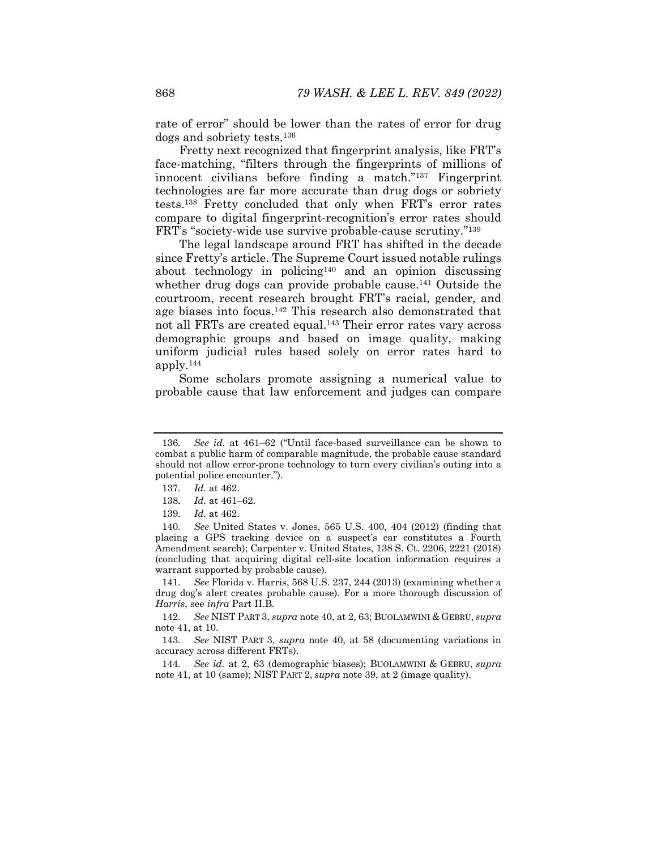rate of error" should be lower than the rates of error for drug dogs and sobriety tests.136

Fretty next recognized that fingerprint analysis, like FRT's face-matching, "filters through the fingerprints of millions of innocent civilians before finding a match."137 Fingerprint technologies are far more accurate than drug dogs or sobriety tests.138 Fretty concluded that only when FRT's error rates compare to digital fingerprint-recognition's error rates should FRT's "society-wide use survive probable-cause scrutiny."139

The legal landscape around FRT has shifted in the decade since Fretty's article. The Supreme Court issued notable rulings about technology in policing140 and an opinion discussing whether drug dogs can provide probable cause.<sup>141</sup> Outside the courtroom, recent research brought FRT's racial, gender, and age biases into focus.142 This research also demonstrated that not all FRTs are created equal.143 Their error rates vary across demographic groups and based on image quality, making uniform judicial rules based solely on error rates hard to apply.144

Some scholars promote assigning a numerical value to probable cause that law enforcement and judges can compare

141*. See* Florida v. Harris, 568 U.S. 237, 244 (2013) (examining whether a drug dog's alert creates probable cause). For a more thorough discussion of *Harris*, see *infra* Part II.B*.* 

142*. See* NIST PART 3, *supra* note 40, at 2, 63; BUOLAMWINI & GEBRU, *supra*  note 41, at 10.

143*. See* NIST PART 3, *supra* note 40, at 58 (documenting variations in accuracy across different FRTs).

144*. See id.* at 2, 63 (demographic biases); BUOLAMWINI & GEBRU, *supra*  note 41, at 10 (same); NIST PART 2, *supra* note 39, at 2 (image quality).

<sup>136</sup>*. See id.* at 461–62 ("Until face-based surveillance can be shown to combat a public harm of comparable magnitude, the probable cause standard should not allow error-prone technology to turn every civilian's outing into a potential police encounter.").

<sup>137</sup>*. Id.* at 462.

<sup>138</sup>*. Id.* at 461–62.

<sup>139</sup>*. Id.* at 462.

<sup>140</sup>*. See* United States v. Jones, 565 U.S. 400, 404 (2012) (finding that placing a GPS tracking device on a suspect's car constitutes a Fourth Amendment search); Carpenter v. United States, 138 S. Ct. 2206, 2221 (2018) (concluding that acquiring digital cell-site location information requires a warrant supported by probable cause).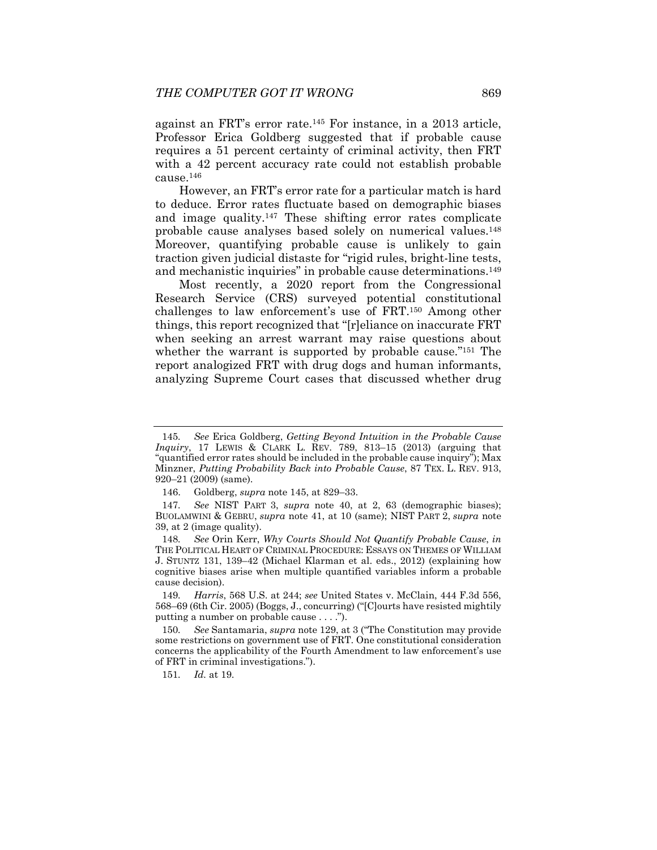against an FRT's error rate.145 For instance, in a 2013 article, Professor Erica Goldberg suggested that if probable cause requires a 51 percent certainty of criminal activity, then FRT with a 42 percent accuracy rate could not establish probable cause.146

However, an FRT's error rate for a particular match is hard to deduce. Error rates fluctuate based on demographic biases and image quality.147 These shifting error rates complicate probable cause analyses based solely on numerical values.148 Moreover, quantifying probable cause is unlikely to gain traction given judicial distaste for "rigid rules, bright-line tests, and mechanistic inquiries" in probable cause determinations.<sup>149</sup>

Most recently, a 2020 report from the Congressional Research Service (CRS) surveyed potential constitutional challenges to law enforcement's use of FRT.150 Among other things, this report recognized that "[r]eliance on inaccurate FRT when seeking an arrest warrant may raise questions about whether the warrant is supported by probable cause.<sup>"151</sup> The report analogized FRT with drug dogs and human informants, analyzing Supreme Court cases that discussed whether drug

147*. See* NIST PART 3, *supra* note 40, at 2, 63 (demographic biases); BUOLAMWINI & GEBRU, *supra* note 41, at 10 (same); NIST PART 2, *supra* note 39, at 2 (image quality).

148*. See* Orin Kerr, *Why Courts Should Not Quantify Probable Cause*, *in*  THE POLITICAL HEART OF CRIMINAL PROCEDURE: ESSAYS ON THEMES OF WILLIAM J. STUNTZ 131, 139–42 (Michael Klarman et al. eds., 2012) (explaining how cognitive biases arise when multiple quantified variables inform a probable cause decision).

149*. Harris*, 568 U.S. at 244; *see* United States v. McClain, 444 F.3d 556, 568–69 (6th Cir. 2005) (Boggs, J., concurring) ("[C]ourts have resisted mightily putting a number on probable cause . . . .").

150*. See* Santamaria, *supra* note 129, at 3 ("The Constitution may provide some restrictions on government use of FRT. One constitutional consideration concerns the applicability of the Fourth Amendment to law enforcement's use of FRT in criminal investigations.").

151*. Id.* at 19.

<sup>145</sup>*. See* Erica Goldberg, *Getting Beyond Intuition in the Probable Cause Inquiry*, 17 LEWIS & CLARK L. REV. 789, 813–15 (2013) (arguing that "quantified error rates should be included in the probable cause inquiry"); Max Minzner, *Putting Probability Back into Probable Cause*, 87 TEX. L. REV. 913, 920–21 (2009) (same).

 <sup>146.</sup> Goldberg, *supra* note 145, at 829–33.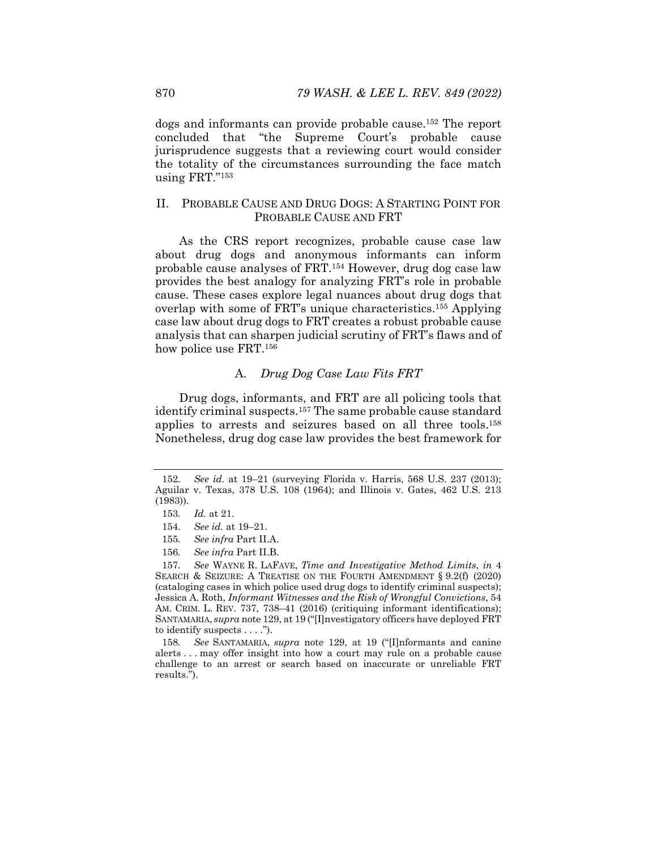dogs and informants can provide probable cause.152 The report concluded that "the Supreme Court's probable cause jurisprudence suggests that a reviewing court would consider the totality of the circumstances surrounding the face match using FRT."153

### II. PROBABLE CAUSE AND DRUG DOGS: A STARTING POINT FOR PROBABLE CAUSE AND FRT

As the CRS report recognizes, probable cause case law about drug dogs and anonymous informants can inform probable cause analyses of FRT.154 However, drug dog case law provides the best analogy for analyzing FRT's role in probable cause. These cases explore legal nuances about drug dogs that overlap with some of FRT's unique characteristics.155 Applying case law about drug dogs to FRT creates a robust probable cause analysis that can sharpen judicial scrutiny of FRT's flaws and of how police use FRT.<sup>156</sup>

## A. *Drug Dog Case Law Fits FRT*

Drug dogs, informants, and FRT are all policing tools that identify criminal suspects.157 The same probable cause standard applies to arrests and seizures based on all three tools.158 Nonetheless, drug dog case law provides the best framework for

<sup>152</sup>*. See id.* at 19–21 (surveying Florida v. Harris, 568 U.S. 237 (2013); Aguilar v. Texas, 378 U.S. 108 (1964); and Illinois v. Gates, 462 U.S. 213 (1983)).

<sup>153</sup>*. Id.* at 21.

<sup>154</sup>*. See id.* at 19–21.

<sup>155</sup>*. See infra* Part II.A.

<sup>156</sup>*. See infra* Part II.B.

<sup>157</sup>*. See* WAYNE R. LAFAVE, *Time and Investigative Method Limits*, *in* 4 SEARCH & SEIZURE: A TREATISE ON THE FOURTH AMENDMENT § 9.2(f) (2020) (cataloging cases in which police used drug dogs to identify criminal suspects); Jessica A. Roth, *Informant Witnesses and the Risk of Wrongful Convictions*, 54 AM. CRIM. L. REV. 737, 738–41 (2016) (critiquing informant identifications); SANTAMARIA, *supra* note 129, at 19 ("[I]nvestigatory officers have deployed FRT to identify suspects . . . .").

<sup>158</sup>*. See* SANTAMARIA, *supra* note 129, at 19 ("[I]nformants and canine alerts . . . may offer insight into how a court may rule on a probable cause challenge to an arrest or search based on inaccurate or unreliable FRT results.").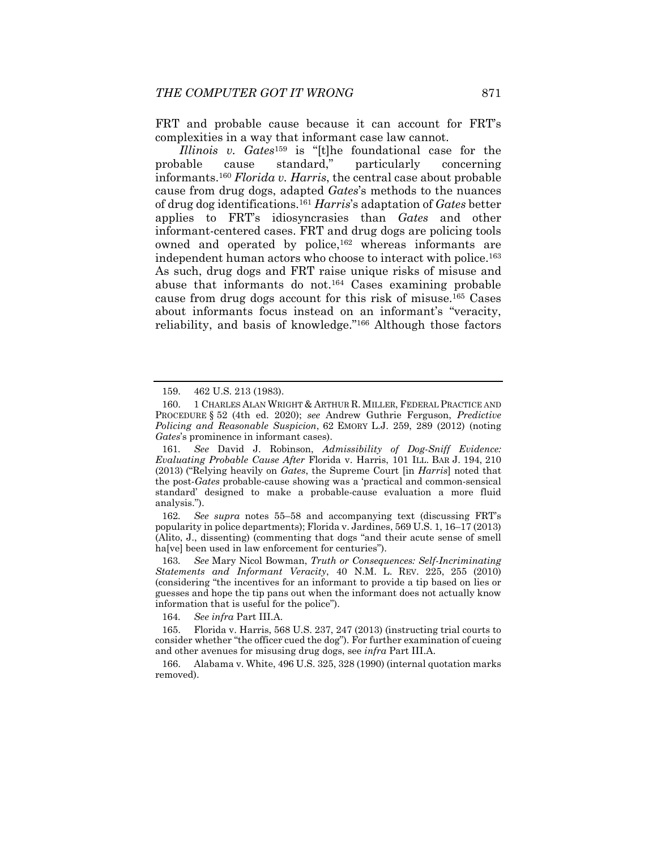FRT and probable cause because it can account for FRT's complexities in a way that informant case law cannot.

*Illinois v. Gates*159 is "[t]he foundational case for the probable cause standard," particularly concerning informants.160 *Florida v. Harris*, the central case about probable cause from drug dogs, adapted *Gates*'s methods to the nuances of drug dog identifications.161 *Harris*'s adaptation of *Gates* better applies to FRT's idiosyncrasies than *Gates* and other informant-centered cases. FRT and drug dogs are policing tools owned and operated by police,<sup>162</sup> whereas informants are independent human actors who choose to interact with police.163 As such, drug dogs and FRT raise unique risks of misuse and abuse that informants do not.164 Cases examining probable cause from drug dogs account for this risk of misuse.165 Cases about informants focus instead on an informant's "veracity, reliability, and basis of knowledge."166 Although those factors

162*. See supra* notes 55–58 and accompanying text (discussing FRT's popularity in police departments); Florida v. Jardines, 569 U.S. 1, 16–17 (2013) (Alito, J., dissenting) (commenting that dogs "and their acute sense of smell ha[ve] been used in law enforcement for centuries").

163*. See* Mary Nicol Bowman, *Truth or Consequences: Self-Incriminating Statements and Informant Veracity*, 40 N.M. L. REV. 225, 255 (2010) (considering "the incentives for an informant to provide a tip based on lies or guesses and hope the tip pans out when the informant does not actually know information that is useful for the police").

164*. See infra* Part III.A.

 166. Alabama v. White, 496 U.S. 325, 328 (1990) (internal quotation marks removed).

 <sup>159. 462</sup> U.S. 213 (1983).

 <sup>160. 1</sup> CHARLES ALAN WRIGHT & ARTHUR R. MILLER, FEDERAL PRACTICE AND PROCEDURE § 52 (4th ed. 2020); *see* Andrew Guthrie Ferguson, *Predictive Policing and Reasonable Suspicion*, 62 EMORY L.J. 259, 289 (2012) (noting *Gates*'s prominence in informant cases).

<sup>161</sup>*. See* David J. Robinson, *Admissibility of Dog-Sniff Evidence: Evaluating Probable Cause After* Florida v. Harris, 101 ILL. BAR J. 194, 210 (2013) ("Relying heavily on *Gates*, the Supreme Court [in *Harris*] noted that the post-*Gates* probable-cause showing was a 'practical and common-sensical standard' designed to make a probable-cause evaluation a more fluid analysis.").

 <sup>165.</sup> Florida v. Harris, 568 U.S. 237, 247 (2013) (instructing trial courts to consider whether "the officer cued the dog"). For further examination of cueing and other avenues for misusing drug dogs, see *infra* Part III.A.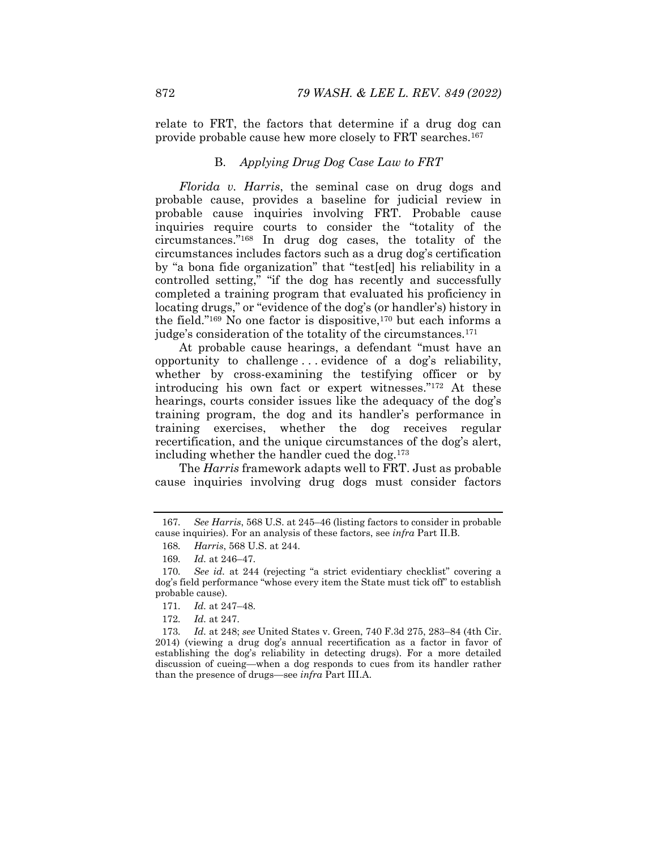relate to FRT, the factors that determine if a drug dog can provide probable cause hew more closely to FRT searches.167

## B. *Applying Drug Dog Case Law to FRT*

*Florida v. Harris*, the seminal case on drug dogs and probable cause, provides a baseline for judicial review in probable cause inquiries involving FRT. Probable cause inquiries require courts to consider the "totality of the circumstances."168 In drug dog cases, the totality of the circumstances includes factors such as a drug dog's certification by "a bona fide organization" that "test[ed] his reliability in a controlled setting," "if the dog has recently and successfully completed a training program that evaluated his proficiency in locating drugs," or "evidence of the dog's (or handler's) history in the field."169 No one factor is dispositive,170 but each informs a judge's consideration of the totality of the circumstances.171

At probable cause hearings, a defendant "must have an opportunity to challenge . . . evidence of a dog's reliability, whether by cross-examining the testifying officer or by introducing his own fact or expert witnesses."172 At these hearings, courts consider issues like the adequacy of the dog's training program, the dog and its handler's performance in training exercises, whether the dog receives regular recertification, and the unique circumstances of the dog's alert, including whether the handler cued the dog.173

The *Harris* framework adapts well to FRT. Just as probable cause inquiries involving drug dogs must consider factors

<sup>167</sup>*. See Harris*, 568 U.S. at 245–46 (listing factors to consider in probable cause inquiries). For an analysis of these factors, see *infra* Part II.B.

<sup>168</sup>*. Harris*, 568 U.S. at 244.

<sup>169</sup>*. Id.* at 246–47.

<sup>170</sup>*. See id.* at 244 (rejecting "a strict evidentiary checklist" covering a dog's field performance "whose every item the State must tick off" to establish probable cause).

<sup>171</sup>*. Id.* at 247–48.

<sup>172</sup>*. Id.* at 247.

<sup>173</sup>*. Id.* at 248; *see* United States v. Green, 740 F.3d 275, 283–84 (4th Cir. 2014) (viewing a drug dog's annual recertification as a factor in favor of establishing the dog's reliability in detecting drugs). For a more detailed discussion of cueing—when a dog responds to cues from its handler rather than the presence of drugs—see *infra* Part III.A.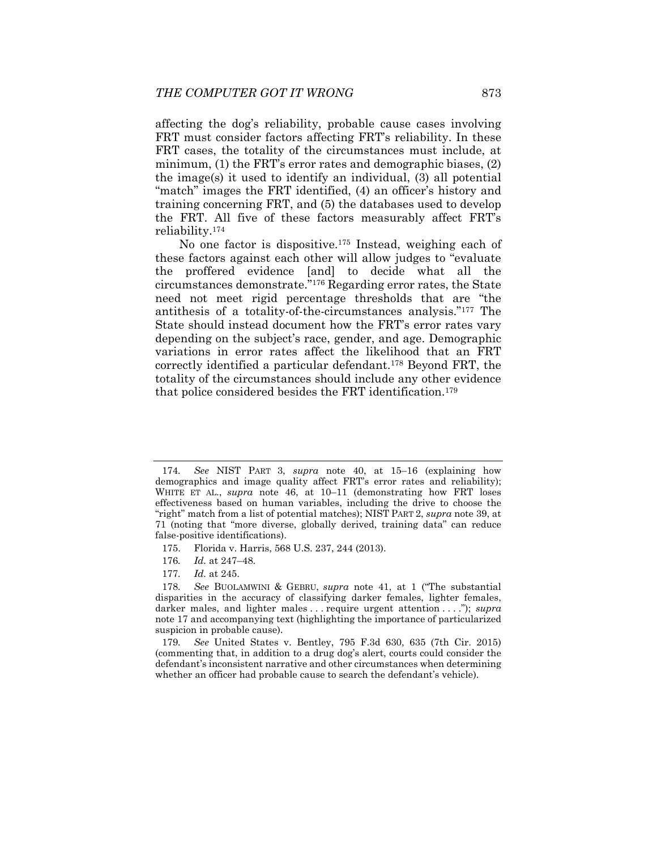affecting the dog's reliability, probable cause cases involving FRT must consider factors affecting FRT's reliability. In these FRT cases, the totality of the circumstances must include, at minimum, (1) the FRT's error rates and demographic biases, (2) the image(s) it used to identify an individual, (3) all potential "match" images the FRT identified, (4) an officer's history and training concerning FRT, and (5) the databases used to develop the FRT. All five of these factors measurably affect FRT's reliability.174

No one factor is dispositive.175 Instead, weighing each of these factors against each other will allow judges to "evaluate the proffered evidence [and] to decide what all the circumstances demonstrate."176 Regarding error rates, the State need not meet rigid percentage thresholds that are "the antithesis of a totality-of-the-circumstances analysis."177 The State should instead document how the FRT's error rates vary depending on the subject's race, gender, and age. Demographic variations in error rates affect the likelihood that an FRT correctly identified a particular defendant.178 Beyond FRT, the totality of the circumstances should include any other evidence that police considered besides the FRT identification.179

- 175. Florida v. Harris, 568 U.S. 237, 244 (2013).
- 176*. Id.* at 247–48.
- 177*. Id.* at 245.

<sup>174</sup>*. See* NIST PART 3, *supra* note 40, at 15–16 (explaining how demographics and image quality affect FRT's error rates and reliability); WHITE ET AL., *supra* note 46, at 10–11 (demonstrating how FRT loses effectiveness based on human variables, including the drive to choose the "right" match from a list of potential matches); NIST PART 2, *supra* note 39, at 71 (noting that "more diverse, globally derived, training data" can reduce false-positive identifications).

<sup>178</sup>*. See* BUOLAMWINI & GEBRU, *supra* note 41, at 1 ("The substantial disparities in the accuracy of classifying darker females, lighter females, darker males, and lighter males . . . require urgent attention . . . ."); *supra*  note 17 and accompanying text (highlighting the importance of particularized suspicion in probable cause).

<sup>179</sup>*. See* United States v. Bentley, 795 F.3d 630, 635 (7th Cir. 2015) (commenting that, in addition to a drug dog's alert, courts could consider the defendant's inconsistent narrative and other circumstances when determining whether an officer had probable cause to search the defendant's vehicle).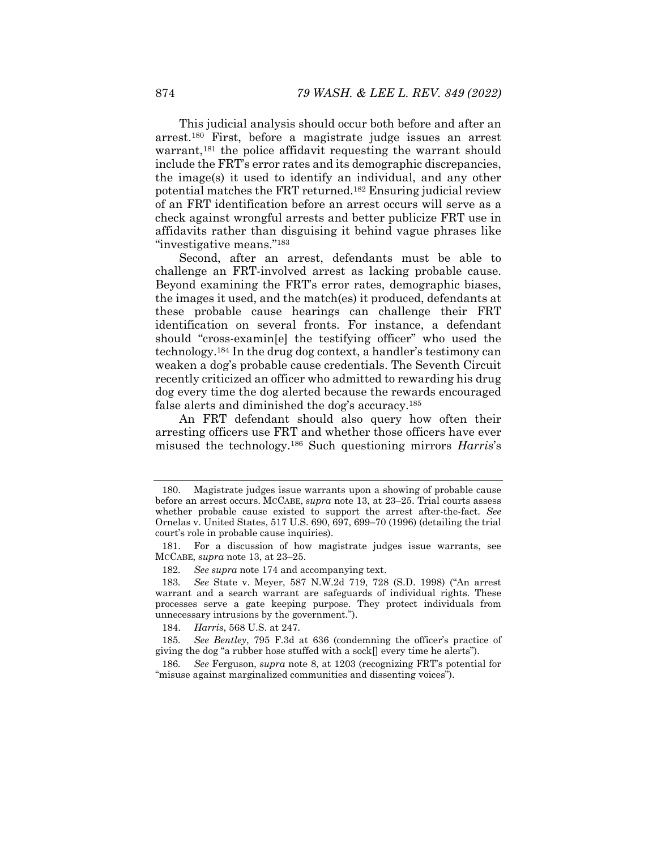This judicial analysis should occur both before and after an arrest.180 First, before a magistrate judge issues an arrest warrant,<sup>181</sup> the police affidavit requesting the warrant should include the FRT's error rates and its demographic discrepancies, the image(s) it used to identify an individual, and any other potential matches the FRT returned.182 Ensuring judicial review of an FRT identification before an arrest occurs will serve as a check against wrongful arrests and better publicize FRT use in affidavits rather than disguising it behind vague phrases like "investigative means."183

Second, after an arrest, defendants must be able to challenge an FRT-involved arrest as lacking probable cause. Beyond examining the FRT's error rates, demographic biases, the images it used, and the match(es) it produced, defendants at these probable cause hearings can challenge their FRT identification on several fronts. For instance, a defendant should "cross-examin[e] the testifying officer" who used the technology.184 In the drug dog context, a handler's testimony can weaken a dog's probable cause credentials. The Seventh Circuit recently criticized an officer who admitted to rewarding his drug dog every time the dog alerted because the rewards encouraged false alerts and diminished the dog's accuracy.185

An FRT defendant should also query how often their arresting officers use FRT and whether those officers have ever misused the technology.186 Such questioning mirrors *Harris*'s

 <sup>180.</sup> Magistrate judges issue warrants upon a showing of probable cause before an arrest occurs. MCCABE, *supra* note 13, at 23–25. Trial courts assess whether probable cause existed to support the arrest after-the-fact. *See*  Ornelas v. United States, 517 U.S. 690, 697, 699–70 (1996) (detailing the trial court's role in probable cause inquiries).

 <sup>181.</sup> For a discussion of how magistrate judges issue warrants, see MCCABE, *supra* note 13, at 23–25.

<sup>182</sup>*. See supra* note 174 and accompanying text.

<sup>183</sup>*. See* State v. Meyer, 587 N.W.2d 719, 728 (S.D. 1998) ("An arrest warrant and a search warrant are safeguards of individual rights. These processes serve a gate keeping purpose. They protect individuals from unnecessary intrusions by the government.").

 <sup>184.</sup> *Harris*, 568 U.S. at 247.

<sup>185</sup>*. See Bentley*, 795 F.3d at 636 (condemning the officer's practice of giving the dog "a rubber hose stuffed with a sock $\lceil \cdot \rceil$  every time he alerts").

<sup>186</sup>*. See* Ferguson, *supra* note 8, at 1203 (recognizing FRT's potential for "misuse against marginalized communities and dissenting voices").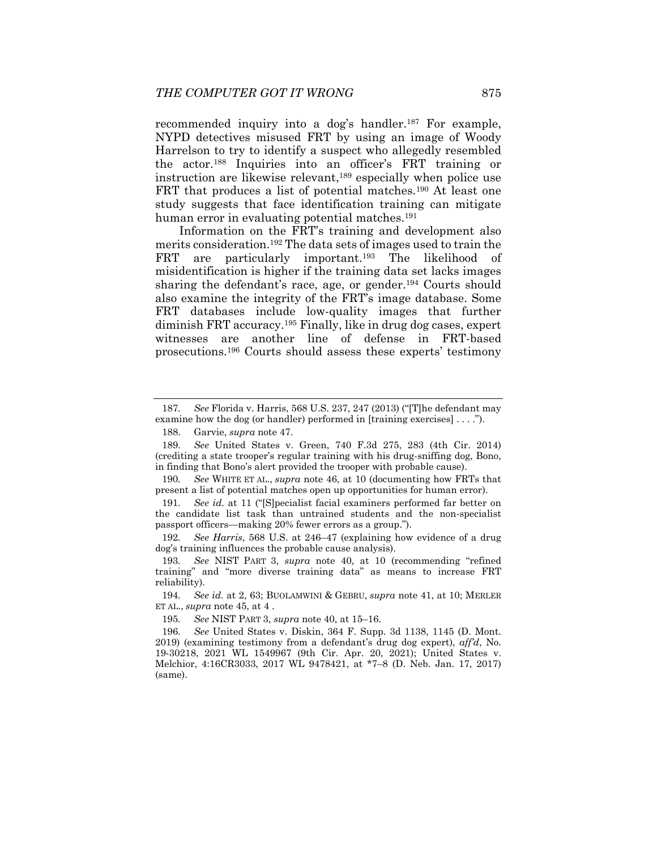recommended inquiry into a dog's handler.187 For example, NYPD detectives misused FRT by using an image of Woody Harrelson to try to identify a suspect who allegedly resembled the actor.188 Inquiries into an officer's FRT training or instruction are likewise relevant,<sup>189</sup> especially when police use FRT that produces a list of potential matches.<sup>190</sup> At least one study suggests that face identification training can mitigate human error in evaluating potential matches.<sup>191</sup>

Information on the FRT's training and development also merits consideration.192 The data sets of images used to train the FRT are particularly important.<sup>193</sup> The likelihood of misidentification is higher if the training data set lacks images sharing the defendant's race, age, or gender.194 Courts should also examine the integrity of the FRT's image database. Some FRT databases include low-quality images that further diminish FRT accuracy.195 Finally, like in drug dog cases, expert witnesses are another line of defense in FRT-based prosecutions.196 Courts should assess these experts' testimony

190*. See* WHITE ET AL., *supra* note 46, at 10 (documenting how FRTs that present a list of potential matches open up opportunities for human error).

191*. See id.* at 11 ("[S]pecialist facial examiners performed far better on the candidate list task than untrained students and the non-specialist passport officers—making 20% fewer errors as a group.").

192*. See Harris*, 568 U.S. at 246–47 (explaining how evidence of a drug dog's training influences the probable cause analysis).

193*. See* NIST PART 3, *supra* note 40, at 10 (recommending "refined training" and "more diverse training data" as means to increase FRT reliability).

194*. See id.* at 2, 63; BUOLAMWINI & GEBRU, *supra* note 41, at 10; MERLER ET AL., *supra* note 45, at 4 .

195*. See* NIST PART 3, *supra* note 40, at 15–16.

196*. See* United States v. Diskin, 364 F. Supp. 3d 1138, 1145 (D. Mont. 2019) (examining testimony from a defendant's drug dog expert), *aff'd*, No. 19-30218, 2021 WL 1549967 (9th Cir. Apr. 20, 2021); United States v. Melchior, 4:16CR3033, 2017 WL 9478421, at \*7–8 (D. Neb. Jan. 17, 2017) (same).

<sup>187</sup>*. See* Florida v. Harris, 568 U.S. 237, 247 (2013) ("[T]he defendant may examine how the dog (or handler) performed in [training exercises] . . . .").

 <sup>188.</sup> Garvie, *supra* note 47.

<sup>189</sup>*. See* United States v. Green, 740 F.3d 275, 283 (4th Cir. 2014) (crediting a state trooper's regular training with his drug-sniffing dog, Bono, in finding that Bono's alert provided the trooper with probable cause).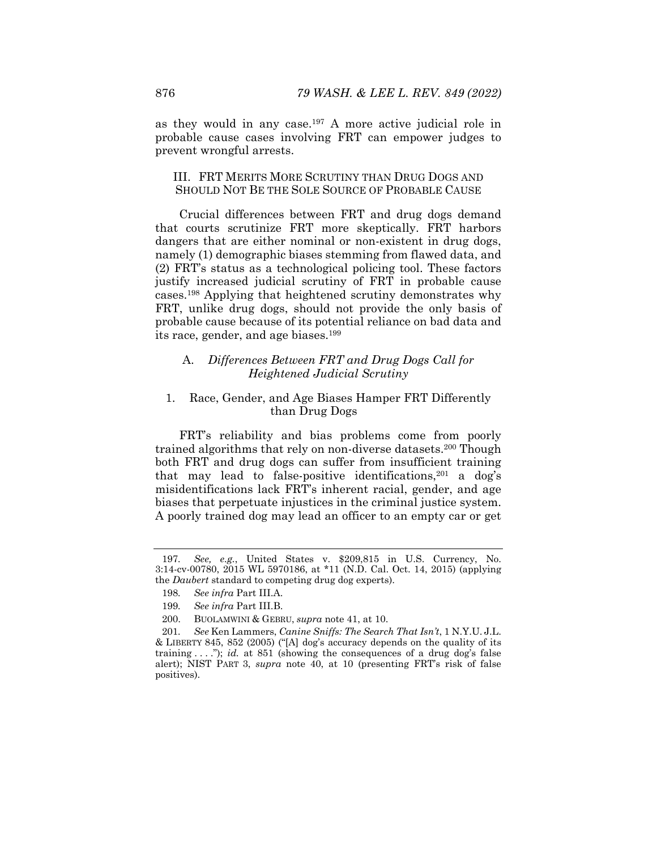as they would in any case.197 A more active judicial role in probable cause cases involving FRT can empower judges to prevent wrongful arrests.

### III. FRT MERITS MORE SCRUTINY THAN DRUG DOGS AND SHOULD NOT BE THE SOLE SOURCE OF PROBABLE CAUSE

Crucial differences between FRT and drug dogs demand that courts scrutinize FRT more skeptically. FRT harbors dangers that are either nominal or non-existent in drug dogs, namely (1) demographic biases stemming from flawed data, and (2) FRT's status as a technological policing tool. These factors justify increased judicial scrutiny of FRT in probable cause cases.198 Applying that heightened scrutiny demonstrates why FRT, unlike drug dogs, should not provide the only basis of probable cause because of its potential reliance on bad data and its race, gender, and age biases.199

## A. *Differences Between FRT and Drug Dogs Call for Heightened Judicial Scrutiny*

## 1. Race, Gender, and Age Biases Hamper FRT Differently than Drug Dogs

FRT's reliability and bias problems come from poorly trained algorithms that rely on non-diverse datasets.200 Though both FRT and drug dogs can suffer from insufficient training that may lead to false-positive identifications,  $201$  a dog's misidentifications lack FRT's inherent racial, gender, and age biases that perpetuate injustices in the criminal justice system. A poorly trained dog may lead an officer to an empty car or get

<sup>197</sup>*. See, e.g.*, United States v. \$209,815 in U.S. Currency, No. 3:14-cv-00780, 2015 WL 5970186, at \*11 (N.D. Cal. Oct. 14, 2015) (applying the *Daubert* standard to competing drug dog experts).

<sup>198</sup>*. See infra* Part III.A.

<sup>199</sup>*. See infra* Part III.B.

 <sup>200.</sup> BUOLAMWINI & GEBRU, *supra* note 41, at 10.

<sup>201</sup>*. See* Ken Lammers, *Canine Sniffs: The Search That Isn't*, 1 N.Y.U. J.L. & LIBERTY 845, 852 (2005) ("[A] dog's accuracy depends on the quality of its training . . . ."); *id.* at 851 (showing the consequences of a drug dog's false alert); NIST PART 3, *supra* note 40, at 10 (presenting FRT's risk of false positives).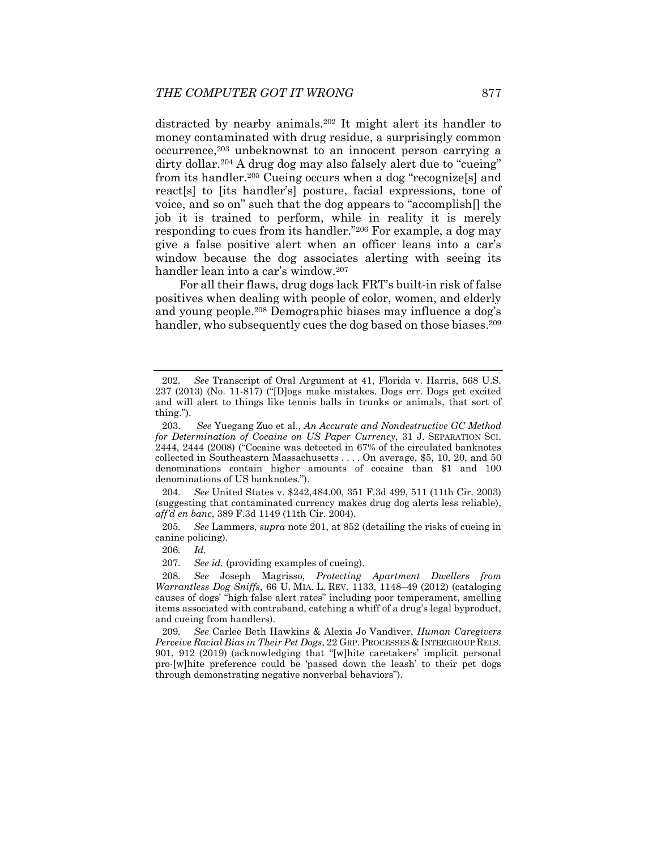distracted by nearby animals.<sup>202</sup> It might alert its handler to money contaminated with drug residue, a surprisingly common occurrence,203 unbeknownst to an innocent person carrying a dirty dollar.<sup>204</sup> A drug dog may also falsely alert due to "cueing" from its handler.205 Cueing occurs when a dog "recognize[s] and react[s] to [its handler's] posture, facial expressions, tone of voice, and so on" such that the dog appears to "accomplish[] the job it is trained to perform, while in reality it is merely responding to cues from its handler."206 For example, a dog may give a false positive alert when an officer leans into a car's window because the dog associates alerting with seeing its handler lean into a car's window.207

For all their flaws, drug dogs lack FRT's built-in risk of false positives when dealing with people of color, women, and elderly and young people.208 Demographic biases may influence a dog's handler, who subsequently cues the dog based on those biases.<sup>209</sup>

204*. See* United States v. \$242,484.00, 351 F.3d 499, 511 (11th Cir. 2003) (suggesting that contaminated currency makes drug dog alerts less reliable), *aff'd en banc*, 389 F.3d 1149 (11th Cir. 2004).

205*. See* Lammers, *supra* note 201, at 852 (detailing the risks of cueing in canine policing).

206*. Id.*

207*. See id.* (providing examples of cueing).

208*. See* Joseph Magrisso, *Protecting Apartment Dwellers from Warrantless Dog Sniffs*, 66 U. MIA. L. REV. 1133, 1148–49 (2012) (cataloging causes of dogs' "high false alert rates" including poor temperament, smelling items associated with contraband, catching a whiff of a drug's legal byproduct, and cueing from handlers).

209*. See* Carlee Beth Hawkins & Alexia Jo Vandiver, *Human Caregivers Perceive Racial Bias in Their Pet Dogs*, 22 GRP. PROCESSES & INTERGROUP RELS. 901, 912 (2019) (acknowledging that "[w]hite caretakers' implicit personal pro-[w]hite preference could be 'passed down the leash' to their pet dogs through demonstrating negative nonverbal behaviors").

<sup>202</sup>*. See* Transcript of Oral Argument at 41, Florida v. Harris, 568 U.S. 237 (2013) (No. 11-817) ("[D]ogs make mistakes. Dogs err. Dogs get excited and will alert to things like tennis balls in trunks or animals, that sort of thing.").

 <sup>203.</sup> *See* Yuegang Zuo et al., *An Accurate and Nondestructive GC Method for Determination of Cocaine on US Paper Currency*, 31 J. SEPARATION SCI. 2444, 2444 (2008) ("Cocaine was detected in 67% of the circulated banknotes collected in Southeastern Massachusetts . . . . On average, \$5, 10, 20, and 50 denominations contain higher amounts of cocaine than \$1 and 100 denominations of US banknotes.").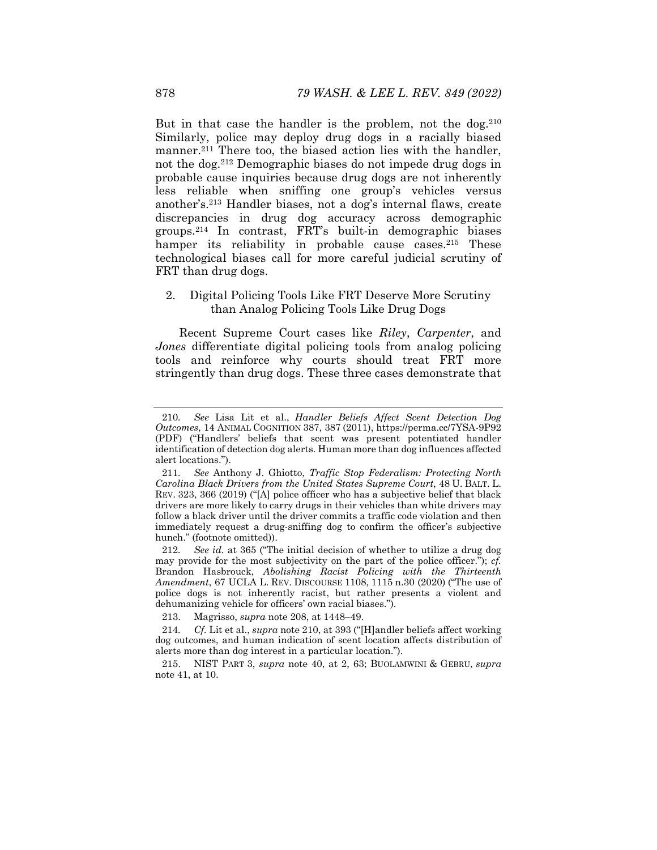But in that case the handler is the problem, not the  $\log^{210}$ Similarly, police may deploy drug dogs in a racially biased manner.<sup>211</sup> There too, the biased action lies with the handler, not the dog.212 Demographic biases do not impede drug dogs in probable cause inquiries because drug dogs are not inherently less reliable when sniffing one group's vehicles versus another's.213 Handler biases, not a dog's internal flaws, create discrepancies in drug dog accuracy across demographic groups.214 In contrast, FRT's built-in demographic biases hamper its reliability in probable cause cases.<sup>215</sup> These technological biases call for more careful judicial scrutiny of FRT than drug dogs.

## 2. Digital Policing Tools Like FRT Deserve More Scrutiny than Analog Policing Tools Like Drug Dogs

Recent Supreme Court cases like *Riley*, *Carpenter*, and *Jones* differentiate digital policing tools from analog policing tools and reinforce why courts should treat FRT more stringently than drug dogs. These three cases demonstrate that

<sup>210</sup>*. See* Lisa Lit et al., *Handler Beliefs Affect Scent Detection Dog Outcomes*, 14 ANIMAL COGNITION 387, 387 (2011), https://perma.cc/7YSA-9P92 (PDF) ("Handlers' beliefs that scent was present potentiated handler identification of detection dog alerts. Human more than dog influences affected alert locations.").

<sup>211</sup>*. See* Anthony J. Ghiotto, *Traffic Stop Federalism: Protecting North Carolina Black Drivers from the United States Supreme Court*, 48 U. BALT. L. REV. 323, 366 (2019) ("[A] police officer who has a subjective belief that black drivers are more likely to carry drugs in their vehicles than white drivers may follow a black driver until the driver commits a traffic code violation and then immediately request a drug-sniffing dog to confirm the officer's subjective hunch." (footnote omitted)).

<sup>212</sup>*. See id.* at 365 ("The initial decision of whether to utilize a drug dog may provide for the most subjectivity on the part of the police officer."); *cf.*  Brandon Hasbrouck, *Abolishing Racist Policing with the Thirteenth Amendment*, 67 UCLA L. REV. DISCOURSE 1108, 1115 n.30 (2020) ("The use of police dogs is not inherently racist, but rather presents a violent and dehumanizing vehicle for officers' own racial biases.").

 <sup>213.</sup> Magrisso, *supra* note 208, at 1448–49.

<sup>214</sup>*. Cf.* Lit et al., *supra* note 210, at 393 ("[H]andler beliefs affect working dog outcomes, and human indication of scent location affects distribution of alerts more than dog interest in a particular location.").

 <sup>215.</sup> NIST PART 3, *supra* note 40, at 2, 63; BUOLAMWINI & GEBRU, *supra*  note 41, at 10.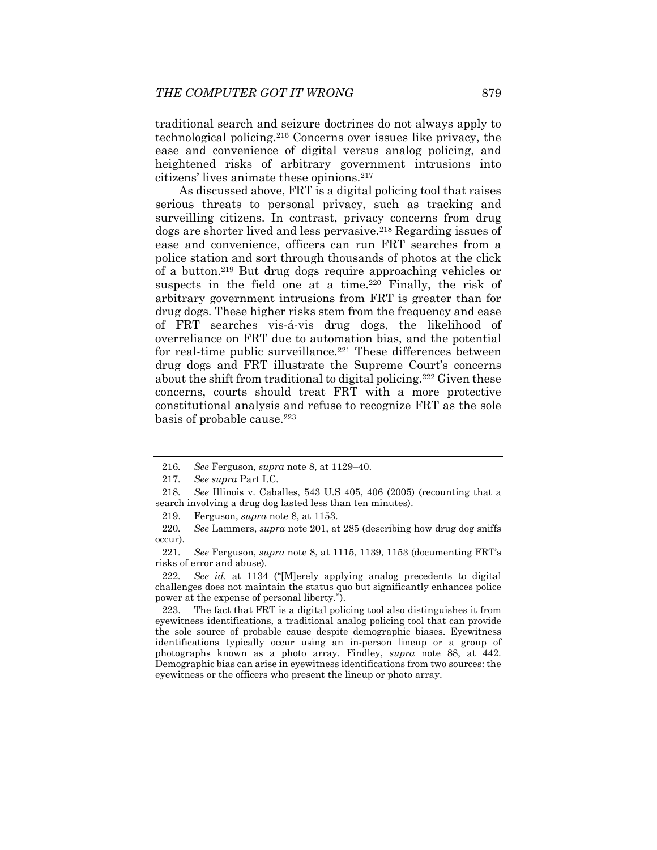traditional search and seizure doctrines do not always apply to technological policing.216 Concerns over issues like privacy, the ease and convenience of digital versus analog policing, and heightened risks of arbitrary government intrusions into citizens' lives animate these opinions.217

As discussed above, FRT is a digital policing tool that raises serious threats to personal privacy, such as tracking and surveilling citizens. In contrast, privacy concerns from drug dogs are shorter lived and less pervasive.218 Regarding issues of ease and convenience, officers can run FRT searches from a police station and sort through thousands of photos at the click of a button.219 But drug dogs require approaching vehicles or suspects in the field one at a time.<sup>220</sup> Finally, the risk of arbitrary government intrusions from FRT is greater than for drug dogs. These higher risks stem from the frequency and ease of FRT searches vis-á-vis drug dogs, the likelihood of overreliance on FRT due to automation bias, and the potential for real-time public surveillance.<sup>221</sup> These differences between drug dogs and FRT illustrate the Supreme Court's concerns about the shift from traditional to digital policing.<sup>222</sup> Given these concerns, courts should treat FRT with a more protective constitutional analysis and refuse to recognize FRT as the sole basis of probable cause.<sup>223</sup>

222*. See id.* at 1134 ("[M]erely applying analog precedents to digital challenges does not maintain the status quo but significantly enhances police power at the expense of personal liberty.").

 223. The fact that FRT is a digital policing tool also distinguishes it from eyewitness identifications, a traditional analog policing tool that can provide the sole source of probable cause despite demographic biases. Eyewitness identifications typically occur using an in-person lineup or a group of photographs known as a photo array. Findley, *supra* note 88, at 442. Demographic bias can arise in eyewitness identifications from two sources: the eyewitness or the officers who present the lineup or photo array.

<sup>216</sup>*. See* Ferguson, *supra* note 8, at 1129–40.

<sup>217</sup>*. See supra* Part I.C.

<sup>218</sup>*. See* Illinois v. Caballes, 543 U.S 405, 406 (2005) (recounting that a search involving a drug dog lasted less than ten minutes).

 <sup>219.</sup> Ferguson, *supra* note 8, at 1153.

<sup>220</sup>*. See* Lammers, *supra* note 201, at 285 (describing how drug dog sniffs occur).

<sup>221</sup>*. See* Ferguson, *supra* note 8, at 1115, 1139, 1153 (documenting FRT's risks of error and abuse).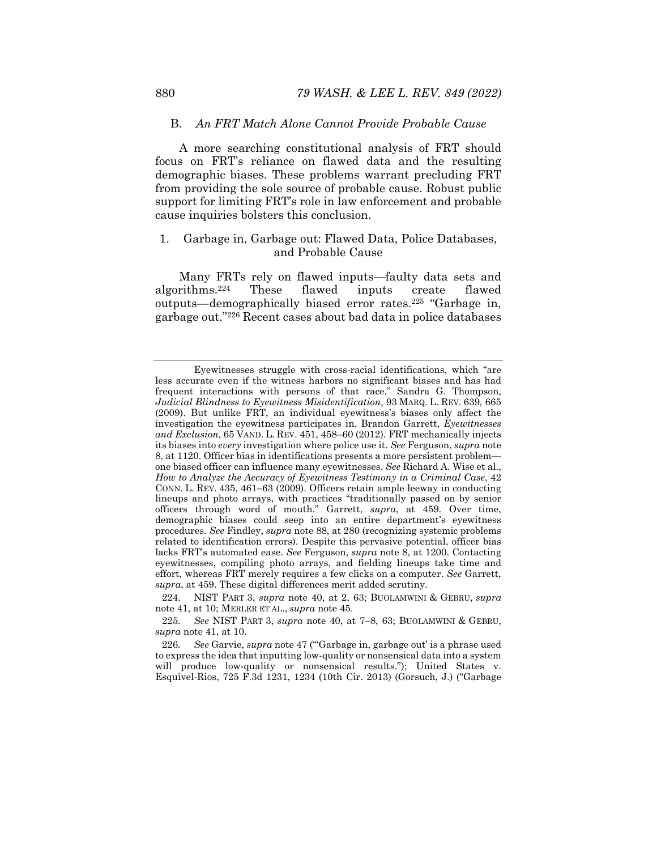#### B. *An FRT Match Alone Cannot Provide Probable Cause*

A more searching constitutional analysis of FRT should focus on FRT's reliance on flawed data and the resulting demographic biases. These problems warrant precluding FRT from providing the sole source of probable cause. Robust public support for limiting FRT's role in law enforcement and probable cause inquiries bolsters this conclusion.

### 1. Garbage in, Garbage out: Flawed Data, Police Databases, and Probable Cause

Many FRTs rely on flawed inputs—faulty data sets and algorithms.224 These flawed inputs create flawed outputs—demographically biased error rates.225 "Garbage in, garbage out."226 Recent cases about bad data in police databases

Eyewitnesses struggle with cross-racial identifications, which "are less accurate even if the witness harbors no significant biases and has had frequent interactions with persons of that race." Sandra G. Thompson, *Judicial Blindness to Eyewitness Misidentification*, 93 MARQ. L. REV. 639, 665 (2009). But unlike FRT, an individual eyewitness's biases only affect the investigation the eyewitness participates in. Brandon Garrett, *Eyewitnesses and Exclusion*, 65 VAND. L. REV. 451, 458–60 (2012). FRT mechanically injects its biases into *every* investigation where police use it. *See* Ferguson, *supra* note 8, at 1120. Officer bias in identifications presents a more persistent problem one biased officer can influence many eyewitnesses. *See* Richard A. Wise et al., *How to Analyze the Accuracy of Eyewitness Testimony in a Criminal Case*, 42 CONN. L. REV. 435, 461–63 (2009). Officers retain ample leeway in conducting lineups and photo arrays, with practices "traditionally passed on by senior officers through word of mouth." Garrett, *supra*, at 459. Over time, demographic biases could seep into an entire department's eyewitness procedures. *See* Findley, *supra* note 88, at 280 (recognizing systemic problems related to identification errors). Despite this pervasive potential, officer bias lacks FRT's automated ease. *See* Ferguson, *supra* note 8, at 1200. Contacting eyewitnesses, compiling photo arrays, and fielding lineups take time and effort, whereas FRT merely requires a few clicks on a computer. *See* Garrett, *supra*, at 459. These digital differences merit added scrutiny.

 <sup>224.</sup> NIST PART 3, *supra* note 40, at 2, 63; BUOLAMWINI & GEBRU, *supra*  note 41, at 10; MERLER ET AL., *supra* note 45.

<sup>225</sup>*. See* NIST PART 3, *supra* note 40, at 7–8, 63; BUOLAMWINI & GEBRU, *supra* note 41, at 10.

<sup>226</sup>*. See* Garvie, *supra* note 47 ("'Garbage in, garbage out' is a phrase used to express the idea that inputting low-quality or nonsensical data into a system will produce low-quality or nonsensical results."); United States v. Esquivel-Rios, 725 F.3d 1231, 1234 (10th Cir. 2013) (Gorsuch, J.) ("Garbage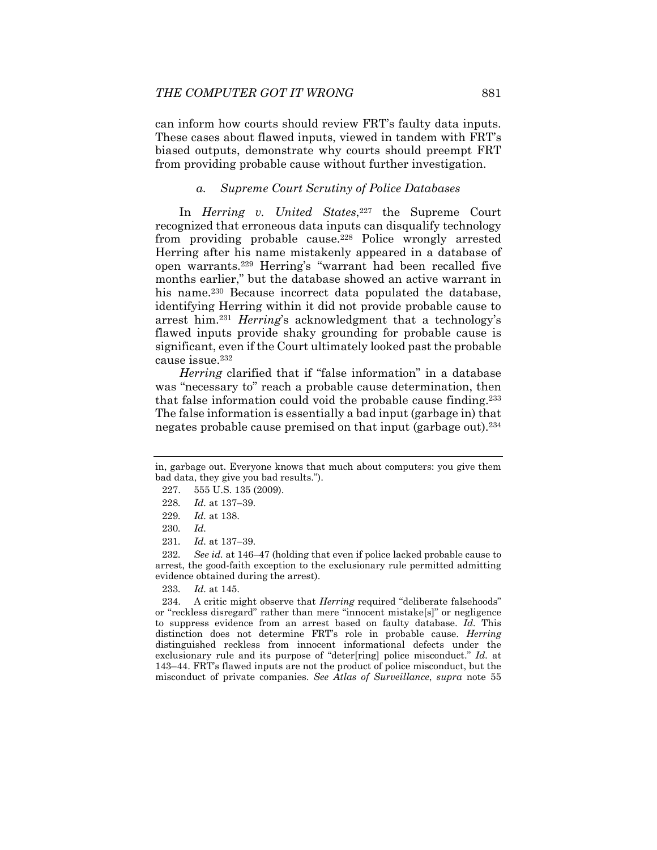can inform how courts should review FRT's faulty data inputs. These cases about flawed inputs, viewed in tandem with FRT's biased outputs, demonstrate why courts should preempt FRT from providing probable cause without further investigation.

## *a. Supreme Court Scrutiny of Police Databases*

In *Herring v. United States*,<sup>227</sup> the Supreme Court recognized that erroneous data inputs can disqualify technology from providing probable cause.<sup>228</sup> Police wrongly arrested Herring after his name mistakenly appeared in a database of open warrants.229 Herring's "warrant had been recalled five months earlier," but the database showed an active warrant in his name.<sup>230</sup> Because incorrect data populated the database, identifying Herring within it did not provide probable cause to arrest him.231 *Herring*'s acknowledgment that a technology's flawed inputs provide shaky grounding for probable cause is significant, even if the Court ultimately looked past the probable cause issue.232

*Herring* clarified that if "false information" in a database was "necessary to" reach a probable cause determination, then that false information could void the probable cause finding.233 The false information is essentially a bad input (garbage in) that negates probable cause premised on that input (garbage out).234

232*. See id.* at 146–47 (holding that even if police lacked probable cause to arrest, the good-faith exception to the exclusionary rule permitted admitting evidence obtained during the arrest).

in, garbage out. Everyone knows that much about computers: you give them bad data, they give you bad results.").

 <sup>227. 555</sup> U.S. 135 (2009).

<sup>228</sup>*. Id.* at 137–39.

<sup>229</sup>*. Id.* at 138.

<sup>230</sup>*. Id.* 

<sup>231</sup>*. Id.* at 137–39.

<sup>233</sup>*. Id.* at 145.

 <sup>234.</sup> A critic might observe that *Herring* required "deliberate falsehoods" or "reckless disregard" rather than mere "innocent mistake[s]" or negligence to suppress evidence from an arrest based on faulty database. *Id.* This distinction does not determine FRT's role in probable cause. *Herring*  distinguished reckless from innocent informational defects under the exclusionary rule and its purpose of "deter[ring] police misconduct." *Id.* at 143–44. FRT's flawed inputs are not the product of police misconduct, but the misconduct of private companies. *See Atlas of Surveillance*, *supra* note 55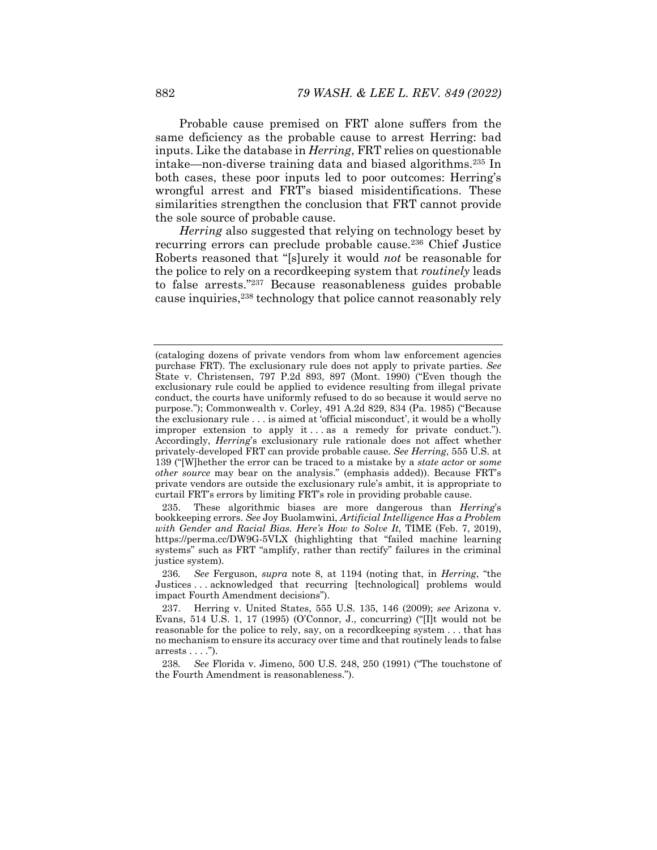Probable cause premised on FRT alone suffers from the same deficiency as the probable cause to arrest Herring: bad inputs. Like the database in *Herring*, FRT relies on questionable intake—non-diverse training data and biased algorithms.235 In both cases, these poor inputs led to poor outcomes: Herring's wrongful arrest and FRT's biased misidentifications. These similarities strengthen the conclusion that FRT cannot provide the sole source of probable cause.

*Herring* also suggested that relying on technology beset by recurring errors can preclude probable cause.236 Chief Justice Roberts reasoned that "[s]urely it would *not* be reasonable for the police to rely on a recordkeeping system that *routinely* leads to false arrests."237 Because reasonableness guides probable cause inquiries,238 technology that police cannot reasonably rely

<sup>(</sup>cataloging dozens of private vendors from whom law enforcement agencies purchase FRT). The exclusionary rule does not apply to private parties. *See*  State v. Christensen, 797 P.2d 893, 897 (Mont. 1990) ("Even though the exclusionary rule could be applied to evidence resulting from illegal private conduct, the courts have uniformly refused to do so because it would serve no purpose."); Commonwealth v. Corley, 491 A.2d 829, 834 (Pa. 1985) ("Because the exclusionary rule . . . is aimed at 'official misconduct', it would be a wholly improper extension to apply it . . . as a remedy for private conduct."). Accordingly, *Herring*'s exclusionary rule rationale does not affect whether privately-developed FRT can provide probable cause. *See Herring*, 555 U.S. at 139 ("[W]hether the error can be traced to a mistake by a *state actor* or *some other source* may bear on the analysis." (emphasis added)). Because FRT's private vendors are outside the exclusionary rule's ambit, it is appropriate to curtail FRT's errors by limiting FRT's role in providing probable cause.

 <sup>235.</sup> These algorithmic biases are more dangerous than *Herring*'s bookkeeping errors. *See* Joy Buolamwini, *Artificial Intelligence Has a Problem with Gender and Racial Bias. Here's How to Solve It*, TIME (Feb. 7, 2019), https://perma.cc/DW9G-5VLX (highlighting that "failed machine learning systems" such as FRT "amplify, rather than rectify" failures in the criminal justice system).

<sup>236</sup>*. See* Ferguson, *supra* note 8, at 1194 (noting that, in *Herring*, "the Justices . . . acknowledged that recurring [technological] problems would impact Fourth Amendment decisions").

 <sup>237.</sup> Herring v. United States, 555 U.S. 135, 146 (2009); *see* Arizona v. Evans, 514 U.S. 1, 17 (1995) (O'Connor, J., concurring) ("[I]t would not be reasonable for the police to rely, say, on a recordkeeping system . . . that has no mechanism to ensure its accuracy over time and that routinely leads to false arrests . . . .").

<sup>238</sup>*. See* Florida v. Jimeno, 500 U.S. 248, 250 (1991) ("The touchstone of the Fourth Amendment is reasonableness.").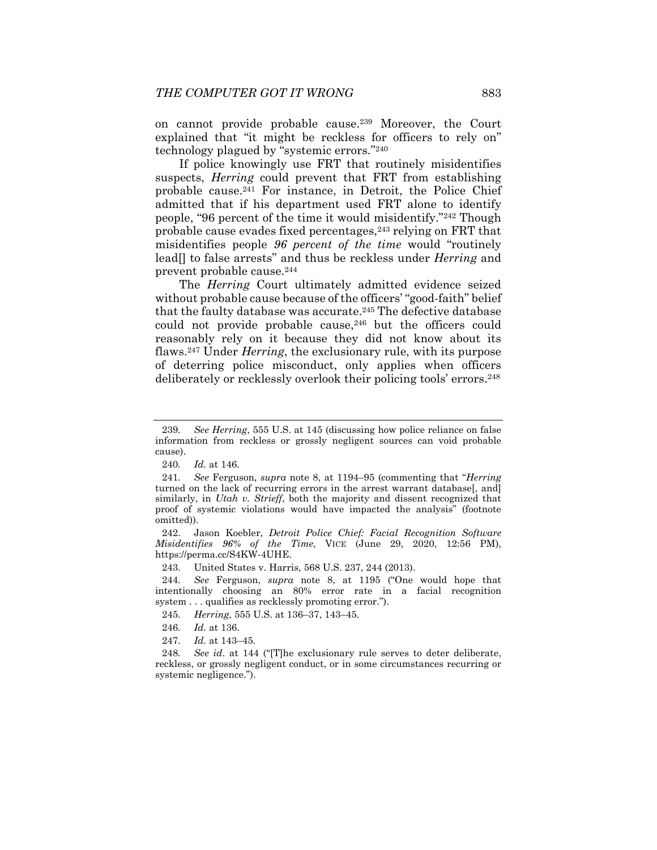on cannot provide probable cause.239 Moreover, the Court explained that "it might be reckless for officers to rely on" technology plagued by "systemic errors."240

If police knowingly use FRT that routinely misidentifies suspects, *Herring* could prevent that FRT from establishing probable cause.241 For instance, in Detroit, the Police Chief admitted that if his department used FRT alone to identify people, "96 percent of the time it would misidentify."242 Though probable cause evades fixed percentages,243 relying on FRT that misidentifies people *96 percent of the time* would "routinely lead[] to false arrests" and thus be reckless under *Herring* and prevent probable cause.244

The *Herring* Court ultimately admitted evidence seized without probable cause because of the officers' "good-faith" belief that the faulty database was accurate.<sup>245</sup> The defective database could not provide probable cause, $246$  but the officers could reasonably rely on it because they did not know about its flaws.247 Under *Herring*, the exclusionary rule, with its purpose of deterring police misconduct, only applies when officers deliberately or recklessly overlook their policing tools' errors.248

 242. Jason Koebler, *Detroit Police Chief: Facial Recognition Software Misidentifies 96% of the Time*, VICE (June 29, 2020, 12:56 PM), https://perma.cc/S4KW-4UHE.

243. United States v. Harris, 568 U.S. 237, 244 (2013).

244*. See* Ferguson, *supra* note 8, at 1195 ("One would hope that intentionally choosing an 80% error rate in a facial recognition system . . . qualifies as recklessly promoting error.").

245*. Herring*, 555 U.S. at 136–37, 143–45.

246*. Id.* at 136.

247*. Id.* at 143–45.

248*. See id*. at 144 ("[T]he exclusionary rule serves to deter deliberate, reckless, or grossly negligent conduct, or in some circumstances recurring or systemic negligence.").

<sup>239</sup>*. See Herring*, 555 U.S. at 145 (discussing how police reliance on false information from reckless or grossly negligent sources can void probable cause).

<sup>240</sup>*. Id.* at 146.

<sup>241</sup>*. See* Ferguson, *supra* note 8, at 1194–95 (commenting that "*Herring* turned on the lack of recurring errors in the arrest warrant database. and similarly, in *Utah v. Strieff*, both the majority and dissent recognized that proof of systemic violations would have impacted the analysis" (footnote omitted)).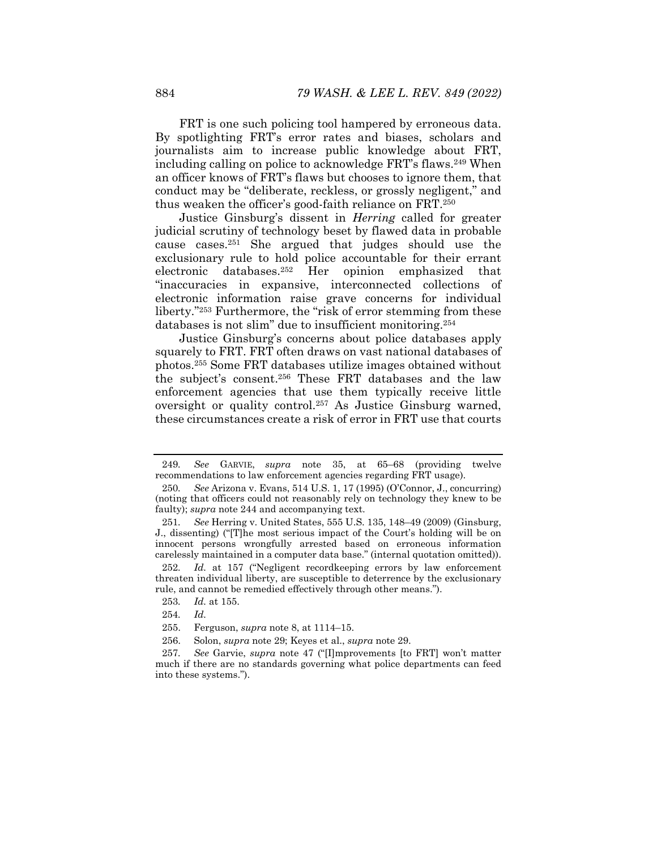FRT is one such policing tool hampered by erroneous data. By spotlighting FRT's error rates and biases, scholars and journalists aim to increase public knowledge about FRT, including calling on police to acknowledge FRT's flaws.249 When an officer knows of FRT's flaws but chooses to ignore them, that conduct may be "deliberate, reckless, or grossly negligent," and thus weaken the officer's good-faith reliance on FRT.250

Justice Ginsburg's dissent in *Herring* called for greater judicial scrutiny of technology beset by flawed data in probable cause cases.251 She argued that judges should use the exclusionary rule to hold police accountable for their errant electronic databases.252 Her opinion emphasized that "inaccuracies in expansive, interconnected collections of electronic information raise grave concerns for individual liberty."253 Furthermore, the "risk of error stemming from these databases is not slim" due to insufficient monitoring.254

Justice Ginsburg's concerns about police databases apply squarely to FRT. FRT often draws on vast national databases of photos.255 Some FRT databases utilize images obtained without the subject's consent.256 These FRT databases and the law enforcement agencies that use them typically receive little oversight or quality control.257 As Justice Ginsburg warned, these circumstances create a risk of error in FRT use that courts

<sup>249</sup>*. See* GARVIE, *supra* note 35, at 65–68 (providing twelve recommendations to law enforcement agencies regarding FRT usage).

<sup>250</sup>*. See* Arizona v. Evans, 514 U.S. 1, 17 (1995) (O'Connor, J., concurring) (noting that officers could not reasonably rely on technology they knew to be faulty); *supra* note 244 and accompanying text.

<sup>251</sup>*. See* Herring v. United States, 555 U.S. 135, 148–49 (2009) (Ginsburg, J., dissenting) ("[T]he most serious impact of the Court's holding will be on innocent persons wrongfully arrested based on erroneous information carelessly maintained in a computer data base." (internal quotation omitted)).

<sup>252</sup>*. Id.* at 157 ("Negligent recordkeeping errors by law enforcement threaten individual liberty, are susceptible to deterrence by the exclusionary rule, and cannot be remedied effectively through other means.").

<sup>253</sup>*. Id.* at 155.

<sup>254</sup>*. Id.* 

 <sup>255.</sup> Ferguson, *supra* note 8, at 1114–15.

 <sup>256.</sup> Solon, *supra* note 29; Keyes et al., *supra* note 29.

<sup>257</sup>*. See* Garvie, *supra* note 47 ("[I]mprovements [to FRT] won't matter much if there are no standards governing what police departments can feed into these systems.").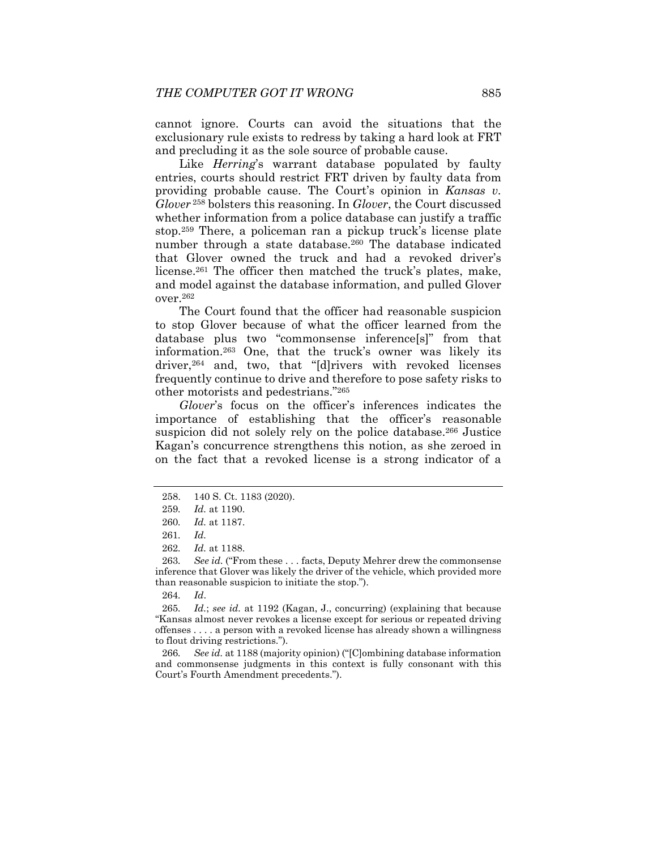cannot ignore. Courts can avoid the situations that the exclusionary rule exists to redress by taking a hard look at FRT and precluding it as the sole source of probable cause.

Like *Herring*'s warrant database populated by faulty entries, courts should restrict FRT driven by faulty data from providing probable cause. The Court's opinion in *Kansas v. Glover*<sup>258</sup> bolsters this reasoning. In *Glover*, the Court discussed whether information from a police database can justify a traffic stop.259 There, a policeman ran a pickup truck's license plate number through a state database.<sup>260</sup> The database indicated that Glover owned the truck and had a revoked driver's license.<sup>261</sup> The officer then matched the truck's plates, make, and model against the database information, and pulled Glover over.262

The Court found that the officer had reasonable suspicion to stop Glover because of what the officer learned from the database plus two "commonsense inference[s]" from that information.263 One, that the truck's owner was likely its driver,<sup>264</sup> and, two, that "[d]rivers with revoked licenses frequently continue to drive and therefore to pose safety risks to other motorists and pedestrians."265

*Glover*'s focus on the officer's inferences indicates the importance of establishing that the officer's reasonable suspicion did not solely rely on the police database.<sup>266</sup> Justice Kagan's concurrence strengthens this notion, as she zeroed in on the fact that a revoked license is a strong indicator of a

262*. Id.* at 1188.

263. See id. ("From these . . . facts, Deputy Mehrer drew the commonsense inference that Glover was likely the driver of the vehicle, which provided more than reasonable suspicion to initiate the stop.").

264*. Id*.

265*. Id.*; *see id.* at 1192 (Kagan, J., concurring) (explaining that because "Kansas almost never revokes a license except for serious or repeated driving offenses . . . . a person with a revoked license has already shown a willingness to flout driving restrictions.").

266*. See id.* at 1188 (majority opinion) ("[C]ombining database information and commonsense judgments in this context is fully consonant with this Court's Fourth Amendment precedents.").

 <sup>258. 140</sup> S. Ct. 1183 (2020).

<sup>259</sup>*. Id.* at 1190.

<sup>260</sup>*. Id.* at 1187.

<sup>261</sup>*. Id.*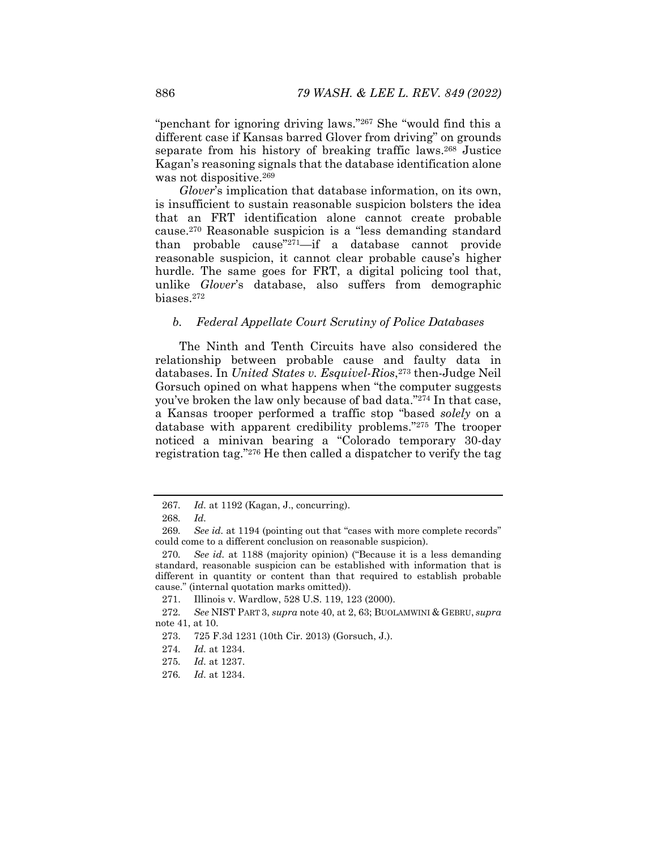"penchant for ignoring driving laws."267 She "would find this a different case if Kansas barred Glover from driving" on grounds separate from his history of breaking traffic laws.<sup>268</sup> Justice Kagan's reasoning signals that the database identification alone was not dispositive.269

*Glover*'s implication that database information, on its own, is insufficient to sustain reasonable suspicion bolsters the idea that an FRT identification alone cannot create probable cause.270 Reasonable suspicion is a "less demanding standard than probable cause"271—if a database cannot provide reasonable suspicion, it cannot clear probable cause's higher hurdle. The same goes for FRT, a digital policing tool that, unlike *Glover*'s database, also suffers from demographic biases.272

#### *b. Federal Appellate Court Scrutiny of Police Databases*

The Ninth and Tenth Circuits have also considered the relationship between probable cause and faulty data in databases. In *United States v. Esquivel-Rios*,273 then-Judge Neil Gorsuch opined on what happens when "the computer suggests you've broken the law only because of bad data."274 In that case, a Kansas trooper performed a traffic stop "based *solely* on a database with apparent credibility problems."275 The trooper noticed a minivan bearing a "Colorado temporary 30-day registration tag."276 He then called a dispatcher to verify the tag

<sup>267</sup>*. Id.* at 1192 (Kagan, J., concurring).

<sup>268</sup>*. Id.* 

<sup>269</sup>*. See id.* at 1194 (pointing out that "cases with more complete records" could come to a different conclusion on reasonable suspicion).

<sup>270</sup>*. See id.* at 1188 (majority opinion) ("Because it is a less demanding standard, reasonable suspicion can be established with information that is different in quantity or content than that required to establish probable cause." (internal quotation marks omitted)).

 <sup>271.</sup> Illinois v. Wardlow, 528 U.S. 119, 123 (2000).

<sup>272</sup>*. See* NIST PART 3, *supra* note 40, at 2, 63; BUOLAMWINI & GEBRU, *supra*  note 41, at 10.

 <sup>273. 725</sup> F.3d 1231 (10th Cir. 2013) (Gorsuch, J.).

<sup>274</sup>*. Id.* at 1234.

<sup>275</sup>*. Id.* at 1237.

<sup>276</sup>*. Id.* at 1234.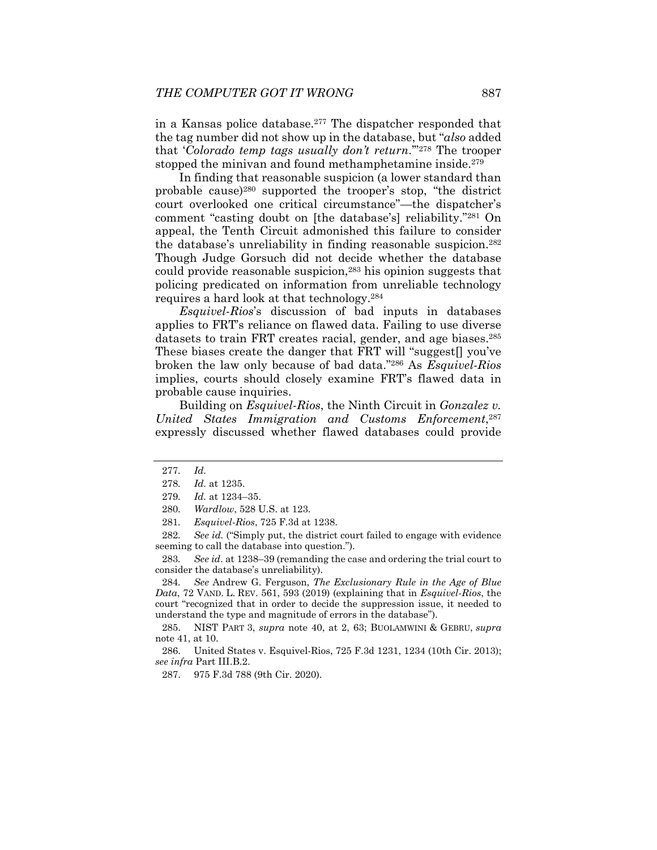in a Kansas police database.277 The dispatcher responded that the tag number did not show up in the database, but "*also* added that '*Colorado temp tags usually don't return*.'"278 The trooper stopped the minivan and found methamphetamine inside.<sup>279</sup>

In finding that reasonable suspicion (a lower standard than probable cause)280 supported the trooper's stop, "the district court overlooked one critical circumstance"—the dispatcher's comment "casting doubt on [the database's] reliability."281 On appeal, the Tenth Circuit admonished this failure to consider the database's unreliability in finding reasonable suspicion.282 Though Judge Gorsuch did not decide whether the database could provide reasonable suspicion,<sup>283</sup> his opinion suggests that policing predicated on information from unreliable technology requires a hard look at that technology.284

*Esquivel-Rios*'s discussion of bad inputs in databases applies to FRT's reliance on flawed data. Failing to use diverse datasets to train FRT creates racial, gender, and age biases.<sup>285</sup> These biases create the danger that FRT will "suggest[] you've broken the law only because of bad data."286 As *Esquivel-Rios*  implies, courts should closely examine FRT's flawed data in probable cause inquiries.

Building on *Esquivel-Rios*, the Ninth Circuit in *Gonzalez v. United States Immigration and Customs Enforcement*,287 expressly discussed whether flawed databases could provide

282*. See id.* ("Simply put, the district court failed to engage with evidence seeming to call the database into question.").

283*. See id*. at 1238–39 (remanding the case and ordering the trial court to consider the database's unreliability).

284*. See* Andrew G. Ferguson, *The Exclusionary Rule in the Age of Blue Data*, 72 VAND. L. REV. 561, 593 (2019) (explaining that in *Esquivel-Rios*, the court "recognized that in order to decide the suppression issue, it needed to understand the type and magnitude of errors in the database").

 285. NIST PART 3, *supra* note 40, at 2, 63; BUOLAMWINI & GEBRU, *supra*  note 41, at 10.

 286. United States v. Esquivel-Rios, 725 F.3d 1231, 1234 (10th Cir. 2013); *see infra* Part III.B.2.

287. 975 F.3d 788 (9th Cir. 2020).

<sup>277</sup>*. Id.*

<sup>278</sup>*. Id.* at 1235.

<sup>279</sup>*. Id.* at 1234–35.

<sup>280</sup>*. Wardlow*, 528 U.S. at 123.

<sup>281</sup>*. Esquivel-Rios*, 725 F.3d at 1238.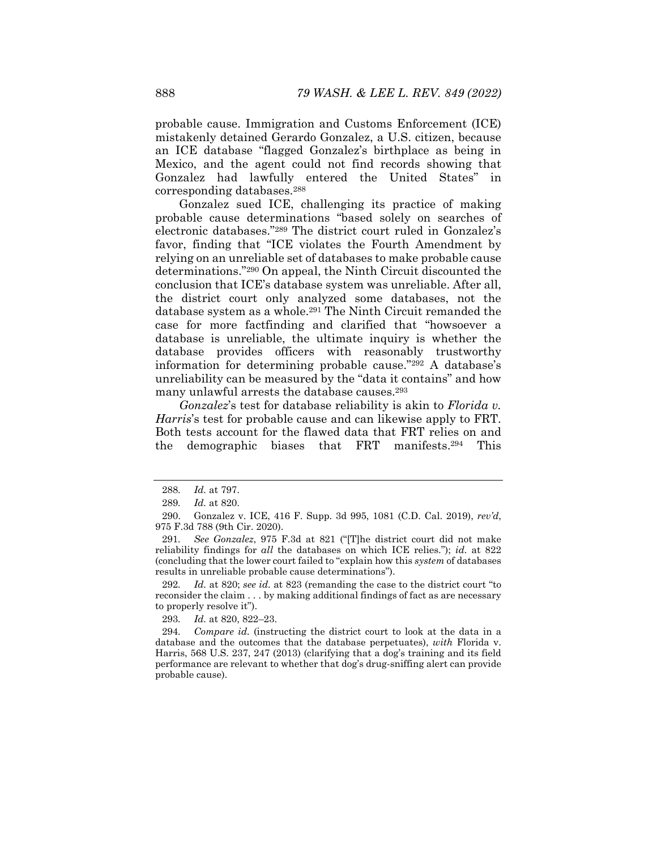probable cause. Immigration and Customs Enforcement (ICE) mistakenly detained Gerardo Gonzalez, a U.S. citizen, because an ICE database "flagged Gonzalez's birthplace as being in Mexico, and the agent could not find records showing that Gonzalez had lawfully entered the United States" in corresponding databases.288

Gonzalez sued ICE, challenging its practice of making probable cause determinations "based solely on searches of electronic databases."289 The district court ruled in Gonzalez's favor, finding that "ICE violates the Fourth Amendment by relying on an unreliable set of databases to make probable cause determinations."290 On appeal, the Ninth Circuit discounted the conclusion that ICE's database system was unreliable. After all, the district court only analyzed some databases, not the database system as a whole.<sup>291</sup> The Ninth Circuit remanded the case for more factfinding and clarified that "howsoever a database is unreliable, the ultimate inquiry is whether the database provides officers with reasonably trustworthy information for determining probable cause."292 A database's unreliability can be measured by the "data it contains" and how many unlawful arrests the database causes.<sup>293</sup>

*Gonzalez*'s test for database reliability is akin to *Florida v. Harris*'s test for probable cause and can likewise apply to FRT. Both tests account for the flawed data that FRT relies on and the demographic biases that FRT manifests.294 This

292*. Id.* at 820; *see id.* at 823 (remanding the case to the district court "to reconsider the claim . . . by making additional findings of fact as are necessary to properly resolve it").

293*. Id.* at 820, 822–23.

294*. Compare id.* (instructing the district court to look at the data in a database and the outcomes that the database perpetuates), *with* Florida v. Harris, 568 U.S. 237, 247 (2013) (clarifying that a dog's training and its field performance are relevant to whether that dog's drug-sniffing alert can provide probable cause).

<sup>288</sup>*. Id.* at 797.

<sup>289</sup>*. Id.* at 820.

 <sup>290.</sup> Gonzalez v. ICE, 416 F. Supp. 3d 995, 1081 (C.D. Cal. 2019), *rev'd*, 975 F.3d 788 (9th Cir. 2020).

<sup>291</sup>*. See Gonzalez*, 975 F.3d at 821 ("[T]he district court did not make reliability findings for *all* the databases on which ICE relies."); *id.* at 822 (concluding that the lower court failed to "explain how this *system* of databases results in unreliable probable cause determinations").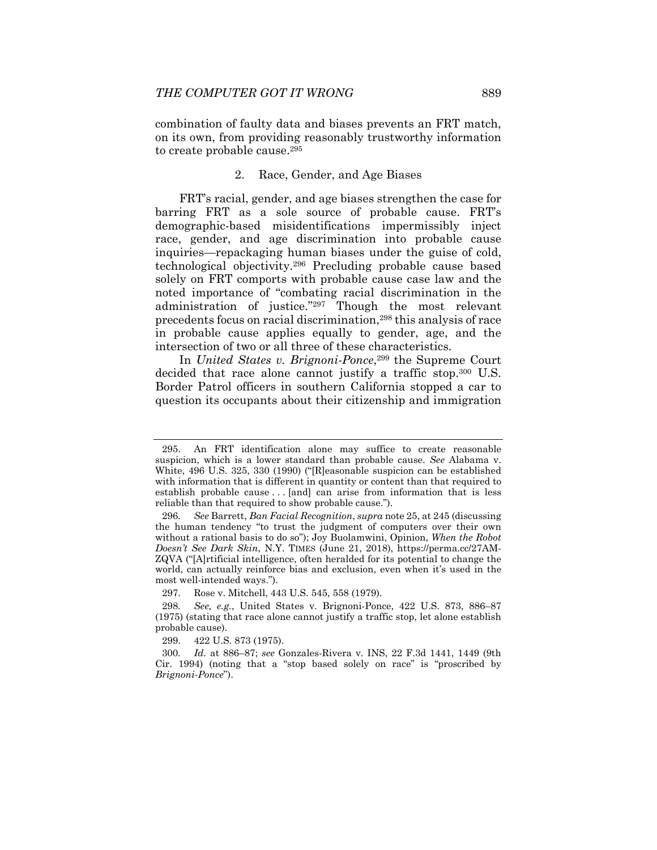combination of faulty data and biases prevents an FRT match, on its own, from providing reasonably trustworthy information to create probable cause.295

#### 2. Race, Gender, and Age Biases

FRT's racial, gender, and age biases strengthen the case for barring FRT as a sole source of probable cause. FRT's demographic-based misidentifications impermissibly inject race, gender, and age discrimination into probable cause inquiries—repackaging human biases under the guise of cold, technological objectivity.296 Precluding probable cause based solely on FRT comports with probable cause case law and the noted importance of "combating racial discrimination in the administration of justice."297 Though the most relevant precedents focus on racial discrimination,298 this analysis of race in probable cause applies equally to gender, age, and the intersection of two or all three of these characteristics.

In *United States v. Brignoni-Ponce*,299 the Supreme Court decided that race alone cannot justify a traffic stop.<sup>300</sup> U.S. Border Patrol officers in southern California stopped a car to question its occupants about their citizenship and immigration

 <sup>295.</sup> An FRT identification alone may suffice to create reasonable suspicion, which is a lower standard than probable cause. *See* Alabama v. White, 496 U.S. 325, 330 (1990) ("[R]easonable suspicion can be established with information that is different in quantity or content than that required to establish probable cause . . . [and] can arise from information that is less reliable than that required to show probable cause.").

<sup>296</sup>*. See* Barrett, *Ban Facial Recognition*, *supra* note 25, at 245 (discussing the human tendency "to trust the judgment of computers over their own without a rational basis to do so"); Joy Buolamwini, Opinion, *When the Robot Doesn't See Dark Skin*, N.Y. TIMES (June 21, 2018), https://perma.cc/27AM-ZQVA ("[A]rtificial intelligence, often heralded for its potential to change the world, can actually reinforce bias and exclusion, even when it's used in the most well-intended ways.").

 <sup>297.</sup> Rose v. Mitchell, 443 U.S. 545, 558 (1979).

<sup>298</sup>*. See, e.g.*, United States v. Brignoni-Ponce, 422 U.S. 873, 886–87 (1975) (stating that race alone cannot justify a traffic stop, let alone establish probable cause).

 <sup>299. 422</sup> U.S. 873 (1975).

<sup>300</sup>*. Id.* at 886–87; *see* Gonzales-Rivera v. INS, 22 F.3d 1441, 1449 (9th Cir. 1994) (noting that a "stop based solely on race" is "proscribed by *Brignoni-Ponce*").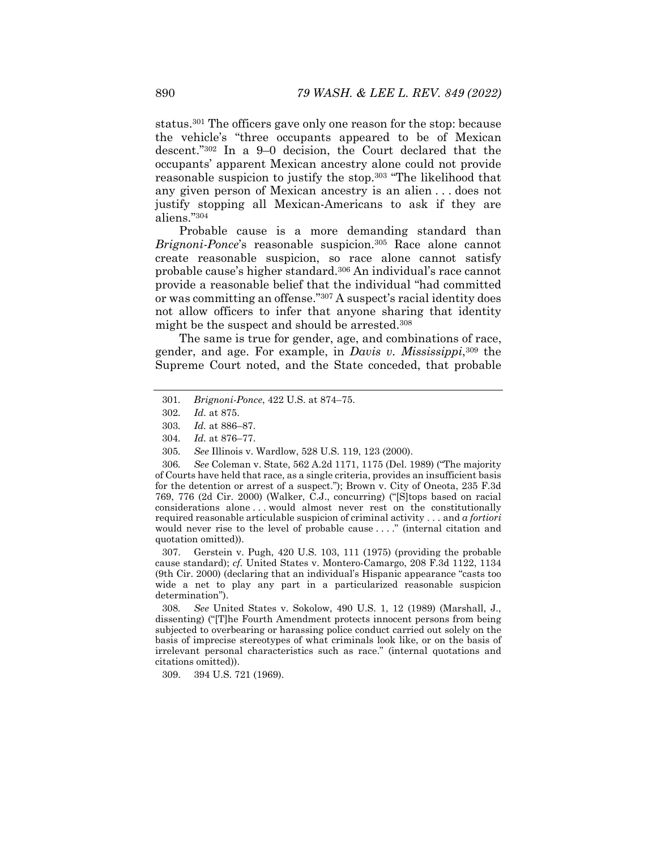status.301 The officers gave only one reason for the stop: because the vehicle's "three occupants appeared to be of Mexican descent."302 In a 9–0 decision, the Court declared that the occupants' apparent Mexican ancestry alone could not provide reasonable suspicion to justify the stop.303 "The likelihood that any given person of Mexican ancestry is an alien . . . does not justify stopping all Mexican-Americans to ask if they are aliens."304

Probable cause is a more demanding standard than *Brignoni-Ponce*'s reasonable suspicion.305 Race alone cannot create reasonable suspicion, so race alone cannot satisfy probable cause's higher standard.306 An individual's race cannot provide a reasonable belief that the individual "had committed or was committing an offense."307 A suspect's racial identity does not allow officers to infer that anyone sharing that identity might be the suspect and should be arrested.308

The same is true for gender, age, and combinations of race, gender, and age. For example, in *Davis v. Mississippi*,309 the Supreme Court noted, and the State conceded, that probable

- 304*. Id.* at 876–77.
- 305*. See* Illinois v. Wardlow, 528 U.S. 119, 123 (2000).

306*. See* Coleman v. State, 562 A.2d 1171, 1175 (Del. 1989) ("The majority of Courts have held that race, as a single criteria, provides an insufficient basis for the detention or arrest of a suspect."); Brown v. City of Oneota, 235 F.3d 769, 776 (2d Cir. 2000) (Walker, C.J., concurring) ("[S]tops based on racial considerations alone . . . would almost never rest on the constitutionally required reasonable articulable suspicion of criminal activity . . . and *a fortiori* would never rise to the level of probable cause . . . ." (internal citation and quotation omitted)).

 307. Gerstein v. Pugh, 420 U.S. 103, 111 (1975) (providing the probable cause standard); *cf.* United States v. Montero-Camargo, 208 F.3d 1122, 1134 (9th Cir. 2000) (declaring that an individual's Hispanic appearance "casts too wide a net to play any part in a particularized reasonable suspicion determination").

308*. See* United States v. Sokolow, 490 U.S. 1, 12 (1989) (Marshall, J., dissenting) ("[T]he Fourth Amendment protects innocent persons from being subjected to overbearing or harassing police conduct carried out solely on the basis of imprecise stereotypes of what criminals look like, or on the basis of irrelevant personal characteristics such as race." (internal quotations and citations omitted)).

309. 394 U.S. 721 (1969).

<sup>301</sup>*. Brignoni-Ponce*, 422 U.S. at 874–75.

<sup>302</sup>*. Id.* at 875.

<sup>303</sup>*. Id.* at 886–87.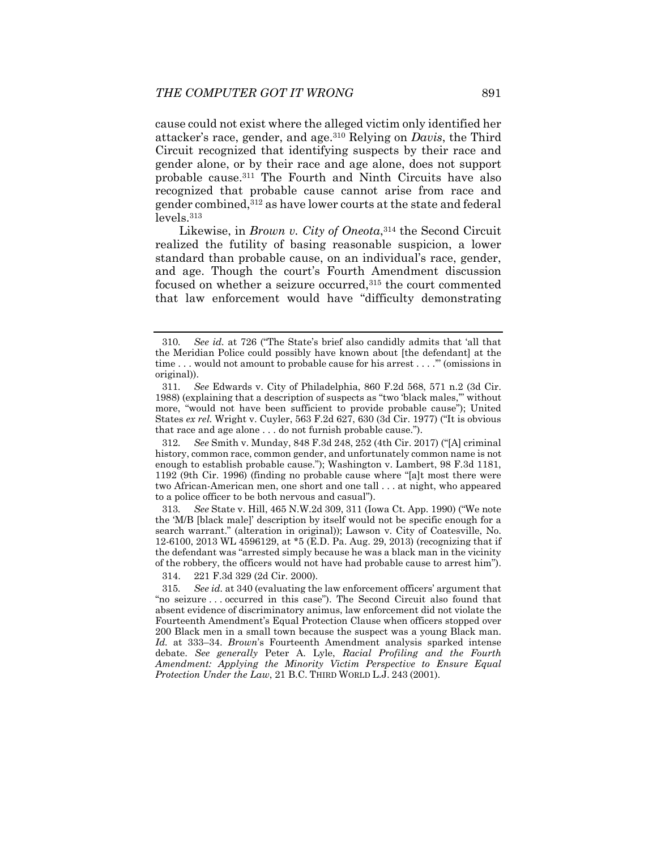cause could not exist where the alleged victim only identified her attacker's race, gender, and age.310 Relying on *Davis*, the Third Circuit recognized that identifying suspects by their race and gender alone, or by their race and age alone, does not support probable cause.311 The Fourth and Ninth Circuits have also recognized that probable cause cannot arise from race and gender combined,312 as have lower courts at the state and federal levels.313

Likewise, in *Brown v. City of Oneota*,314 the Second Circuit realized the futility of basing reasonable suspicion, a lower standard than probable cause, on an individual's race, gender, and age. Though the court's Fourth Amendment discussion focused on whether a seizure occurred, 315 the court commented that law enforcement would have "difficulty demonstrating

314. 221 F.3d 329 (2d Cir. 2000).

<sup>310</sup>*. See id.* at 726 ("The State's brief also candidly admits that 'all that the Meridian Police could possibly have known about [the defendant] at the time . . . would not amount to probable cause for his arrest . . . .'" (omissions in original)).

<sup>311</sup>*. See* Edwards v. City of Philadelphia, 860 F.2d 568, 571 n.2 (3d Cir. 1988) (explaining that a description of suspects as "two 'black males,'" without more, "would not have been sufficient to provide probable cause"); United States *ex rel.* Wright v. Cuyler, 563 F.2d 627, 630 (3d Cir. 1977) ("It is obvious that race and age alone . . . do not furnish probable cause.").

<sup>312</sup>*. See* Smith v. Munday, 848 F.3d 248, 252 (4th Cir. 2017) ("[A] criminal history, common race, common gender, and unfortunately common name is not enough to establish probable cause."); Washington v. Lambert, 98 F.3d 1181, 1192 (9th Cir. 1996) (finding no probable cause where "[a]t most there were two African-American men, one short and one tall . . . at night, who appeared to a police officer to be both nervous and casual").

<sup>313</sup>*. See* State v. Hill, 465 N.W.2d 309, 311 (Iowa Ct. App. 1990) ("We note the 'M/B [black male]' description by itself would not be specific enough for a search warrant." (alteration in original)); Lawson v. City of Coatesville, No. 12-6100, 2013 WL 4596129, at \*5 (E.D. Pa. Aug. 29, 2013) (recognizing that if the defendant was "arrested simply because he was a black man in the vicinity of the robbery, the officers would not have had probable cause to arrest him").

<sup>315</sup>*. See id.* at 340 (evaluating the law enforcement officers' argument that "no seizure . . . occurred in this case"). The Second Circuit also found that absent evidence of discriminatory animus, law enforcement did not violate the Fourteenth Amendment's Equal Protection Clause when officers stopped over 200 Black men in a small town because the suspect was a young Black man. *Id.* at 333–34. *Brown*'s Fourteenth Amendment analysis sparked intense debate. *See generally* Peter A. Lyle, *Racial Profiling and the Fourth Amendment: Applying the Minority Victim Perspective to Ensure Equal Protection Under the Law*, 21 B.C. THIRD WORLD L.J. 243 (2001).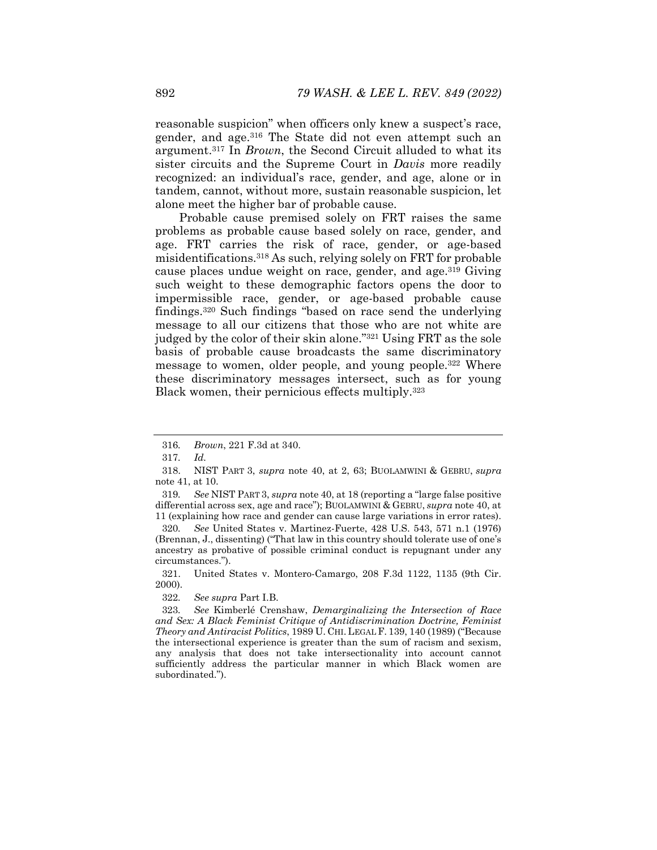reasonable suspicion" when officers only knew a suspect's race, gender, and age.316 The State did not even attempt such an argument.317 In *Brown*, the Second Circuit alluded to what its sister circuits and the Supreme Court in *Davis* more readily recognized: an individual's race, gender, and age, alone or in tandem, cannot, without more, sustain reasonable suspicion, let alone meet the higher bar of probable cause.

Probable cause premised solely on FRT raises the same problems as probable cause based solely on race, gender, and age. FRT carries the risk of race, gender, or age-based misidentifications.318 As such, relying solely on FRT for probable cause places undue weight on race, gender, and age.319 Giving such weight to these demographic factors opens the door to impermissible race, gender, or age-based probable cause findings.320 Such findings "based on race send the underlying message to all our citizens that those who are not white are judged by the color of their skin alone."321 Using FRT as the sole basis of probable cause broadcasts the same discriminatory message to women, older people, and young people.322 Where these discriminatory messages intersect, such as for young Black women, their pernicious effects multiply.323

319*. See* NIST PART 3, *supra* note 40, at 18 (reporting a "large false positive differential across sex, age and race"); BUOLAMWINI & GEBRU, *supra* note 40, at 11 (explaining how race and gender can cause large variations in error rates).

320*. See* United States v. Martinez-Fuerte, 428 U.S. 543, 571 n.1 (1976) (Brennan, J., dissenting) ("That law in this country should tolerate use of one's ancestry as probative of possible criminal conduct is repugnant under any circumstances.").

 321. United States v. Montero-Camargo, 208 F.3d 1122, 1135 (9th Cir. 2000).

322*. See supra* Part I.B.

323*. See* Kimberlé Crenshaw, *Demarginalizing the Intersection of Race and Sex: A Black Feminist Critique of Antidiscrimination Doctrine, Feminist Theory and Antiracist Politics*, 1989 U. CHI. LEGAL F. 139, 140 (1989) ("Because the intersectional experience is greater than the sum of racism and sexism, any analysis that does not take intersectionality into account cannot sufficiently address the particular manner in which Black women are subordinated.").

<sup>316</sup>*. Brown*, 221 F.3d at 340.

<sup>317</sup>*. Id.* 

 <sup>318.</sup> NIST PART 3, *supra* note 40, at 2, 63; BUOLAMWINI & GEBRU, *supra*  note 41, at 10.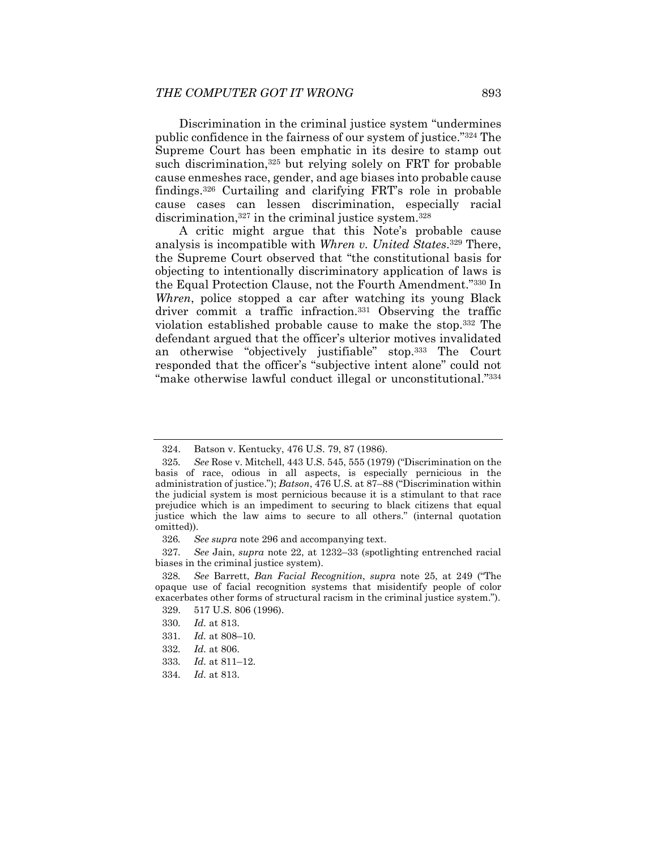Discrimination in the criminal justice system "undermines public confidence in the fairness of our system of justice."324 The Supreme Court has been emphatic in its desire to stamp out such discrimination,<sup>325</sup> but relying solely on FRT for probable cause enmeshes race, gender, and age biases into probable cause findings.326 Curtailing and clarifying FRT's role in probable cause cases can lessen discrimination, especially racial discrimination,<sup>327</sup> in the criminal justice system.<sup>328</sup>

A critic might argue that this Note's probable cause analysis is incompatible with *Whren v. United States*.329 There, the Supreme Court observed that "the constitutional basis for objecting to intentionally discriminatory application of laws is the Equal Protection Clause, not the Fourth Amendment."330 In *Whren*, police stopped a car after watching its young Black driver commit a traffic infraction.331 Observing the traffic violation established probable cause to make the stop.332 The defendant argued that the officer's ulterior motives invalidated an otherwise "objectively justifiable" stop.333 The Court responded that the officer's "subjective intent alone" could not "make otherwise lawful conduct illegal or unconstitutional."334

327*. See* Jain, *supra* note 22, at 1232–33 (spotlighting entrenched racial biases in the criminal justice system).

330*. Id.* at 813.

334*. Id.* at 813.

 <sup>324.</sup> Batson v. Kentucky, 476 U.S. 79, 87 (1986).

<sup>325</sup>*. See* Rose v. Mitchell, 443 U.S. 545, 555 (1979) ("Discrimination on the basis of race, odious in all aspects, is especially pernicious in the administration of justice."); *Batson*, 476 U.S. at 87–88 ("Discrimination within the judicial system is most pernicious because it is a stimulant to that race prejudice which is an impediment to securing to black citizens that equal justice which the law aims to secure to all others." (internal quotation omitted)).

<sup>326</sup>*. See supra* note 296 and accompanying text.

<sup>328</sup>*. See* Barrett, *Ban Facial Recognition*, *supra* note 25, at 249 ("The opaque use of facial recognition systems that misidentify people of color exacerbates other forms of structural racism in the criminal justice system.").

 <sup>329. 517</sup> U.S. 806 (1996).

<sup>331</sup>*. Id.* at 808–10.

<sup>332</sup>*. Id.* at 806.

<sup>333</sup>*. Id.* at 811–12.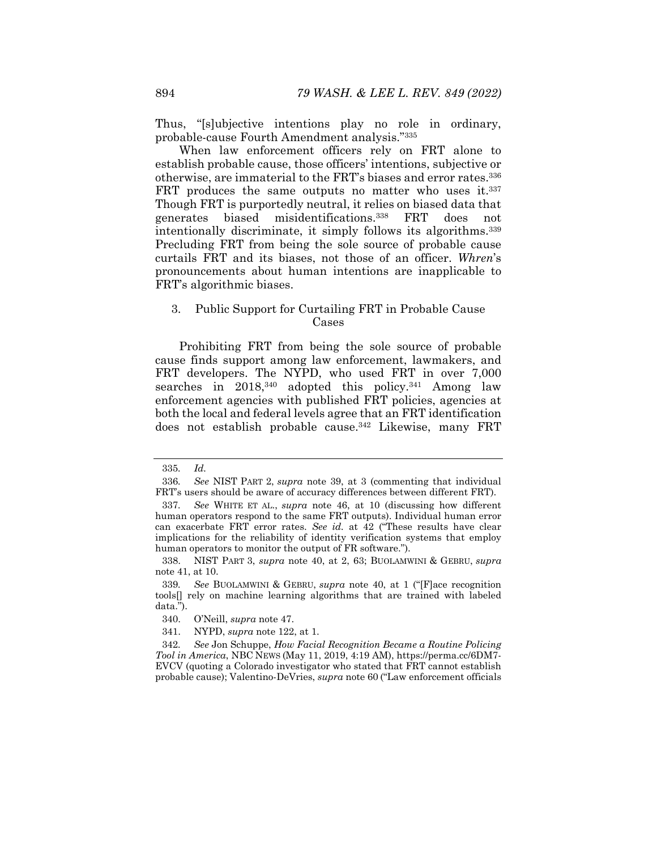Thus, "[s]ubjective intentions play no role in ordinary, probable-cause Fourth Amendment analysis."335

When law enforcement officers rely on FRT alone to establish probable cause, those officers' intentions, subjective or otherwise, are immaterial to the FRT's biases and error rates.336 FRT produces the same outputs no matter who uses it.<sup>337</sup> Though FRT is purportedly neutral, it relies on biased data that generates biased misidentifications.338 FRT does not intentionally discriminate, it simply follows its algorithms.339 Precluding FRT from being the sole source of probable cause curtails FRT and its biases, not those of an officer. *Whren*'s pronouncements about human intentions are inapplicable to FRT's algorithmic biases.

#### 3. Public Support for Curtailing FRT in Probable Cause Cases

Prohibiting FRT from being the sole source of probable cause finds support among law enforcement, lawmakers, and FRT developers. The NYPD, who used FRT in over 7,000 searches in 2018,<sup>340</sup> adopted this policy.<sup>341</sup> Among law enforcement agencies with published FRT policies, agencies at both the local and federal levels agree that an FRT identification does not establish probable cause.<sup>342</sup> Likewise, many FRT

<sup>335</sup>*. Id.* 

<sup>336</sup>*. See* NIST PART 2, *supra* note 39, at 3 (commenting that individual FRT's users should be aware of accuracy differences between different FRT).

<sup>337</sup>*. See* WHITE ET AL., *supra* note 46, at 10 (discussing how different human operators respond to the same FRT outputs). Individual human error can exacerbate FRT error rates. *See id.* at 42 ("These results have clear implications for the reliability of identity verification systems that employ human operators to monitor the output of FR software.").

 <sup>338.</sup> NIST PART 3, *supra* note 40, at 2, 63; BUOLAMWINI & GEBRU, *supra*  note 41, at 10.

<sup>339</sup>*. See* BUOLAMWINI & GEBRU, *supra* note 40, at 1 ("[F]ace recognition tools[] rely on machine learning algorithms that are trained with labeled data.").

 <sup>340.</sup> O'Neill, *supra* note 47.

 <sup>341.</sup> NYPD, *supra* note 122, at 1.

<sup>342</sup>*. See* Jon Schuppe, *How Facial Recognition Became a Routine Policing Tool in America*, NBC NEWS (May 11, 2019, 4:19 AM), https://perma.cc/6DM7- EVCV (quoting a Colorado investigator who stated that FRT cannot establish probable cause); Valentino-DeVries, *supra* note 60 ("Law enforcement officials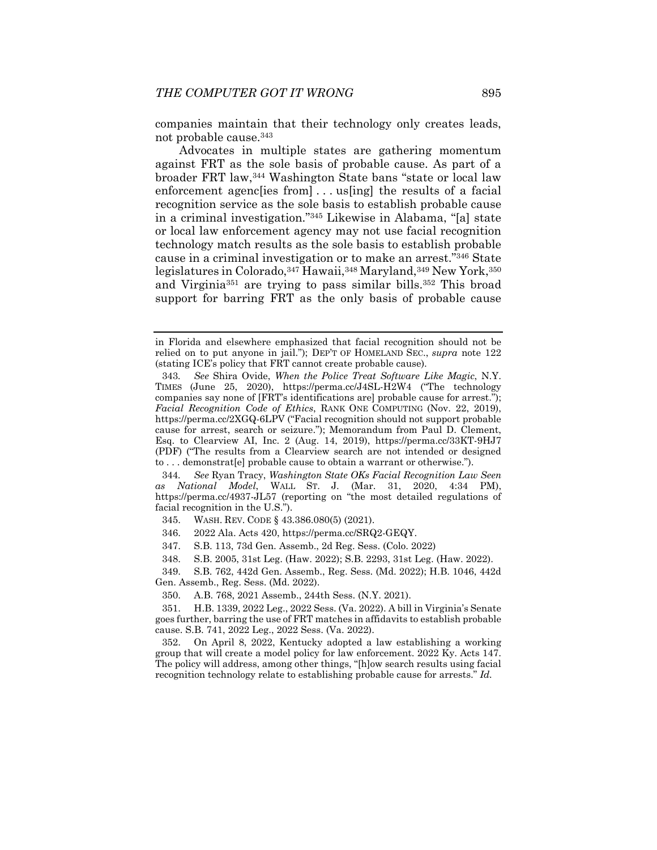companies maintain that their technology only creates leads, not probable cause.343

Advocates in multiple states are gathering momentum against FRT as the sole basis of probable cause. As part of a broader FRT law,344 Washington State bans "state or local law enforcement agenclies from  $\ldots$  us [ing] the results of a facial recognition service as the sole basis to establish probable cause in a criminal investigation."345 Likewise in Alabama, "[a] state or local law enforcement agency may not use facial recognition technology match results as the sole basis to establish probable cause in a criminal investigation or to make an arrest."346 State legislatures in Colorado, 347 Hawaii, 348 Maryland, 349 New York, 350 and Virginia351 are trying to pass similar bills.352 This broad support for barring FRT as the only basis of probable cause

344*. See* Ryan Tracy, *Washington State OKs Facial Recognition Law Seen as National Model*, WALL ST. J. (Mar. 31, 2020, 4:34 PM), https://perma.cc/4937-JL57 (reporting on "the most detailed regulations of facial recognition in the U.S.").

346. 2022 Ala. Acts 420, https://perma.cc/SRQ2-GEQY.

347. S.B. 113, 73d Gen. Assemb., 2d Reg. Sess. (Colo. 2022)

 349. S.B. 762, 442d Gen. Assemb., Reg. Sess. (Md. 2022); H.B. 1046, 442d Gen. Assemb., Reg. Sess. (Md. 2022).

350. A.B. 768, 2021 Assemb., 244th Sess. (N.Y. 2021).

 351. H.B. 1339, 2022 Leg., 2022 Sess. (Va. 2022). A bill in Virginia's Senate goes further, barring the use of FRT matches in affidavits to establish probable cause. S.B. 741, 2022 Leg., 2022 Sess. (Va. 2022).

 352. On April 8, 2022, Kentucky adopted a law establishing a working group that will create a model policy for law enforcement. 2022 Ky. Acts 147. The policy will address, among other things, "[h]ow search results using facial recognition technology relate to establishing probable cause for arrests." *Id.*

in Florida and elsewhere emphasized that facial recognition should not be relied on to put anyone in jail."); DEP'T OF HOMELAND SEC., *supra* note 122 (stating ICE's policy that FRT cannot create probable cause).

<sup>343</sup>*. See* Shira Ovide, *When the Police Treat Software Like Magic*, N.Y. TIMES (June 25, 2020), https://perma.cc/J4SL-H2W4 ("The technology companies say none of [FRT's identifications are] probable cause for arrest."); *Facial Recognition Code of Ethics*, RANK ONE COMPUTING (Nov. 22, 2019), https://perma.cc/2XGQ-6LPV ("Facial recognition should not support probable cause for arrest, search or seizure."); Memorandum from Paul D. Clement, Esq. to Clearview AI, Inc. 2 (Aug. 14, 2019), https://perma.cc/33KT-9HJ7 (PDF) ("The results from a Clearview search are not intended or designed to . . . demonstrat[e] probable cause to obtain a warrant or otherwise.").

 <sup>345.</sup> WASH. REV. CODE § 43.386.080(5) (2021).

 <sup>348.</sup> S.B. 2005, 31st Leg. (Haw. 2022); S.B. 2293, 31st Leg. (Haw. 2022).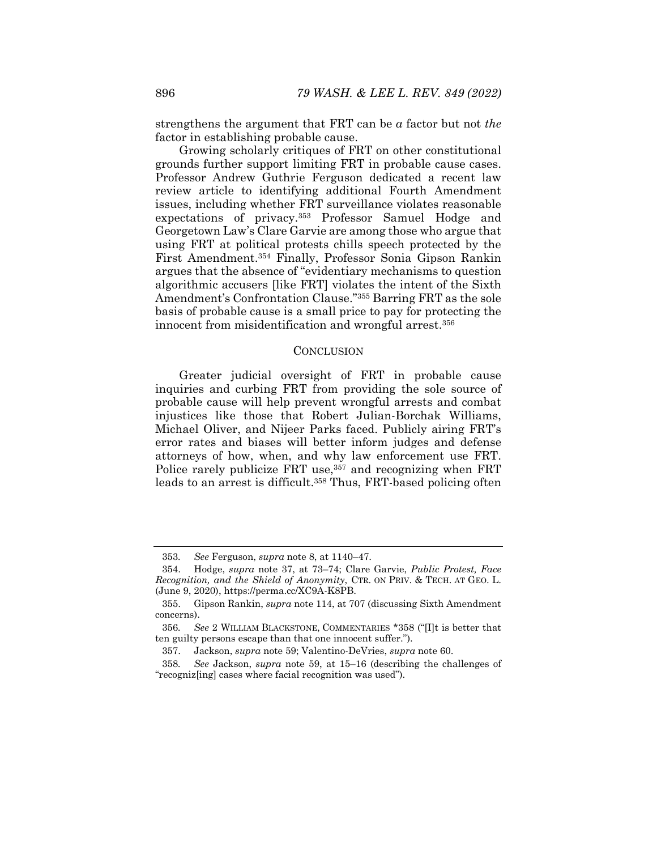strengthens the argument that FRT can be *a* factor but not *the*  factor in establishing probable cause.

Growing scholarly critiques of FRT on other constitutional grounds further support limiting FRT in probable cause cases. Professor Andrew Guthrie Ferguson dedicated a recent law review article to identifying additional Fourth Amendment issues, including whether FRT surveillance violates reasonable expectations of privacy.353 Professor Samuel Hodge and Georgetown Law's Clare Garvie are among those who argue that using FRT at political protests chills speech protected by the First Amendment.354 Finally, Professor Sonia Gipson Rankin argues that the absence of "evidentiary mechanisms to question algorithmic accusers [like FRT] violates the intent of the Sixth Amendment's Confrontation Clause."355 Barring FRT as the sole basis of probable cause is a small price to pay for protecting the innocent from misidentification and wrongful arrest.356

#### **CONCLUSION**

Greater judicial oversight of FRT in probable cause inquiries and curbing FRT from providing the sole source of probable cause will help prevent wrongful arrests and combat injustices like those that Robert Julian-Borchak Williams, Michael Oliver, and Nijeer Parks faced. Publicly airing FRT's error rates and biases will better inform judges and defense attorneys of how, when, and why law enforcement use FRT. Police rarely publicize FRT use,<sup>357</sup> and recognizing when FRT leads to an arrest is difficult.<sup>358</sup> Thus, FRT-based policing often

<sup>353</sup>*. See* Ferguson, *supra* note 8, at 1140–47.

 <sup>354.</sup> Hodge, *supra* note 37, at 73–74; Clare Garvie, *Public Protest, Face Recognition, and the Shield of Anonymity*, CTR. ON PRIV. & TECH. AT GEO. L. (June 9, 2020), https://perma.cc/XC9A-K8PB.

 <sup>355.</sup> Gipson Rankin, *supra* note 114, at 707 (discussing Sixth Amendment concerns).

<sup>356</sup>*. See* 2 WILLIAM BLACKSTONE, COMMENTARIES \*358 ("[I]t is better that ten guilty persons escape than that one innocent suffer.").

 <sup>357.</sup> Jackson, *supra* note 59; Valentino-DeVries, *supra* note 60.

<sup>358</sup>*. See* Jackson, *supra* note 59, at 15–16 (describing the challenges of "recogniz[ing] cases where facial recognition was used").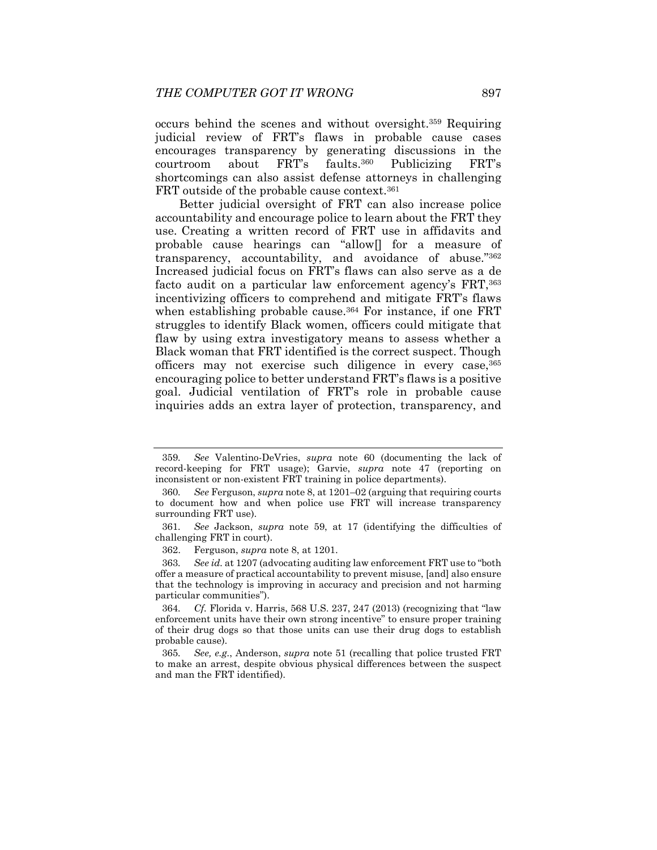occurs behind the scenes and without oversight.359 Requiring judicial review of FRT's flaws in probable cause cases encourages transparency by generating discussions in the courtroom about FRT's faults.360 Publicizing FRT's shortcomings can also assist defense attorneys in challenging FRT outside of the probable cause context.<sup>361</sup>

Better judicial oversight of FRT can also increase police accountability and encourage police to learn about the FRT they use. Creating a written record of FRT use in affidavits and probable cause hearings can "allow[] for a measure of transparency, accountability, and avoidance of abuse."362 Increased judicial focus on FRT's flaws can also serve as a de facto audit on a particular law enforcement agency's FRT, 363 incentivizing officers to comprehend and mitigate FRT's flaws when establishing probable cause.<sup>364</sup> For instance, if one FRT struggles to identify Black women, officers could mitigate that flaw by using extra investigatory means to assess whether a Black woman that FRT identified is the correct suspect. Though officers may not exercise such diligence in every case,365 encouraging police to better understand FRT's flaws is a positive goal. Judicial ventilation of FRT's role in probable cause inquiries adds an extra layer of protection, transparency, and

<sup>359</sup>*. See* Valentino-DeVries, *supra* note 60 (documenting the lack of record-keeping for FRT usage); Garvie, *supra* note 47 (reporting on inconsistent or non-existent FRT training in police departments).

<sup>360</sup>*. See* Ferguson, *supra* note 8, at 1201–02 (arguing that requiring courts to document how and when police use FRT will increase transparency surrounding FRT use).

<sup>361</sup>*. See* Jackson, *supra* note 59, at 17 (identifying the difficulties of challenging FRT in court).

 <sup>362.</sup> Ferguson, *supra* note 8, at 1201.

<sup>363</sup>*. See id.* at 1207 (advocating auditing law enforcement FRT use to "both offer a measure of practical accountability to prevent misuse, [and] also ensure that the technology is improving in accuracy and precision and not harming particular communities").

<sup>364</sup>*. Cf.* Florida v. Harris, 568 U.S. 237, 247 (2013) (recognizing that "law enforcement units have their own strong incentive" to ensure proper training of their drug dogs so that those units can use their drug dogs to establish probable cause).

<sup>365</sup>*. See, e.g.*, Anderson, *supra* note 51 (recalling that police trusted FRT to make an arrest, despite obvious physical differences between the suspect and man the FRT identified).